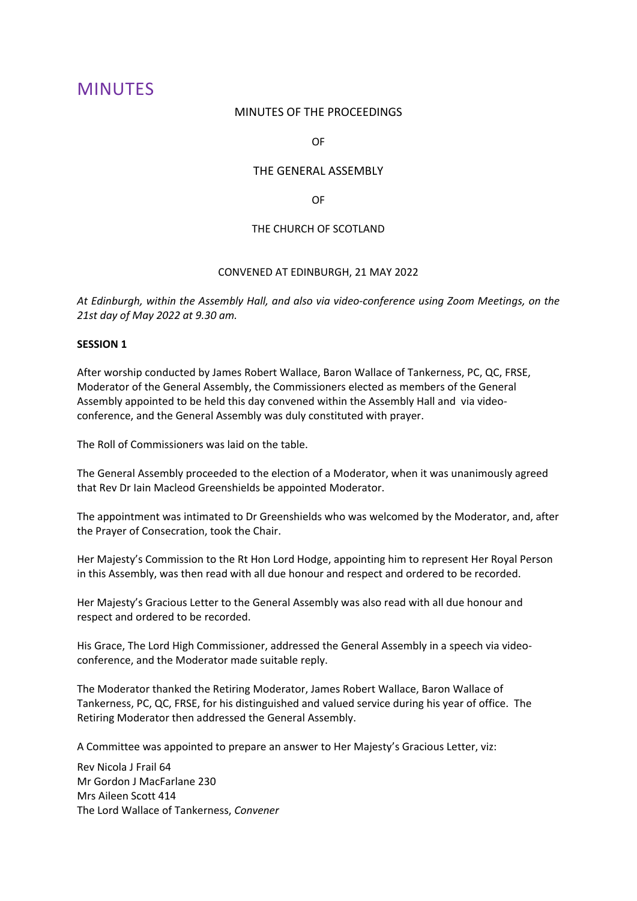# MINUTES

### MINUTES OF THE PROCEEDINGS

OF

# THE GENERAL ASSEMBLY

OF

# THE CHURCH OF SCOTLAND

# CONVENED AT EDINBURGH, 21 MAY 2022

*At Edinburgh, within the Assembly Hall, and also via video-conference using Zoom Meetings, on the 21st day of May 2022 at 9.30 am.* 

# **SESSION 1**

After worship conducted by James Robert Wallace, Baron Wallace of Tankerness, PC, QC, FRSE, Moderator of the General Assembly, the Commissioners elected as members of the General Assembly appointed to be held this day convened within the Assembly Hall and via videoconference, and the General Assembly was duly constituted with prayer.

The Roll of Commissioners was laid on the table.

The General Assembly proceeded to the election of a Moderator, when it was unanimously agreed that Rev Dr Iain Macleod Greenshields be appointed Moderator.

The appointment was intimated to Dr Greenshields who was welcomed by the Moderator, and, after the Prayer of Consecration, took the Chair.

Her Majesty's Commission to the Rt Hon Lord Hodge, appointing him to represent Her Royal Person in this Assembly, was then read with all due honour and respect and ordered to be recorded.

Her Majesty's Gracious Letter to the General Assembly was also read with all due honour and respect and ordered to be recorded.

His Grace, The Lord High Commissioner, addressed the General Assembly in a speech via videoconference, and the Moderator made suitable reply.

The Moderator thanked the Retiring Moderator, James Robert Wallace, Baron Wallace of Tankerness, PC, QC, FRSE, for his distinguished and valued service during his year of office. The Retiring Moderator then addressed the General Assembly.

A Committee was appointed to prepare an answer to Her Majesty's Gracious Letter, viz:

Rev Nicola J Frail 64 Mr Gordon J MacFarlane 230 Mrs Aileen Scott 414 The Lord Wallace of Tankerness, *Convener*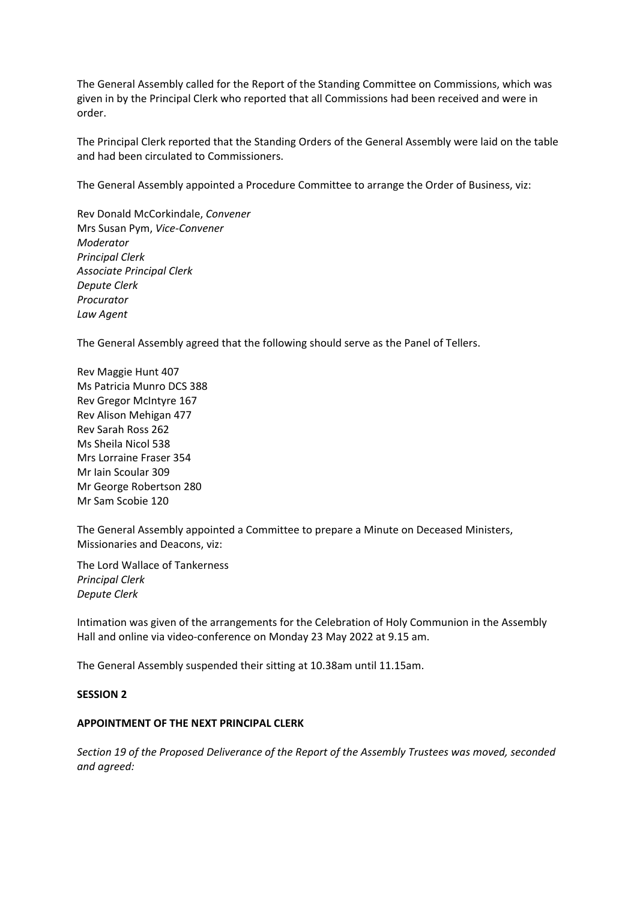The General Assembly called for the Report of the Standing Committee on Commissions, which was given in by the Principal Clerk who reported that all Commissions had been received and were in order.

The Principal Clerk reported that the Standing Orders of the General Assembly were laid on the table and had been circulated to Commissioners.

The General Assembly appointed a Procedure Committee to arrange the Order of Business, viz:

Rev Donald McCorkindale, *Convener* Mrs Susan Pym, *Vice-Convener Moderator Principal Clerk Associate Principal Clerk Depute Clerk Procurator Law Agent*

The General Assembly agreed that the following should serve as the Panel of Tellers.

Rev Maggie Hunt 407 Ms Patricia Munro DCS 388 Rev Gregor McIntyre 167 Rev Alison Mehigan 477 Rev Sarah Ross 262 Ms Sheila Nicol 538 Mrs Lorraine Fraser 354 Mr Iain Scoular 309 Mr George Robertson 280 Mr Sam Scobie 120

The General Assembly appointed a Committee to prepare a Minute on Deceased Ministers, Missionaries and Deacons, viz:

The Lord Wallace of Tankerness *Principal Clerk Depute Clerk*

Intimation was given of the arrangements for the Celebration of Holy Communion in the Assembly Hall and online via video-conference on Monday 23 May 2022 at 9.15 am.

The General Assembly suspended their sitting at 10.38am until 11.15am.

# **SESSION 2**

# **APPOINTMENT OF THE NEXT PRINCIPAL CLERK**

*Section 19 of the Proposed Deliverance of the Report of the Assembly Trustees was moved, seconded and agreed:*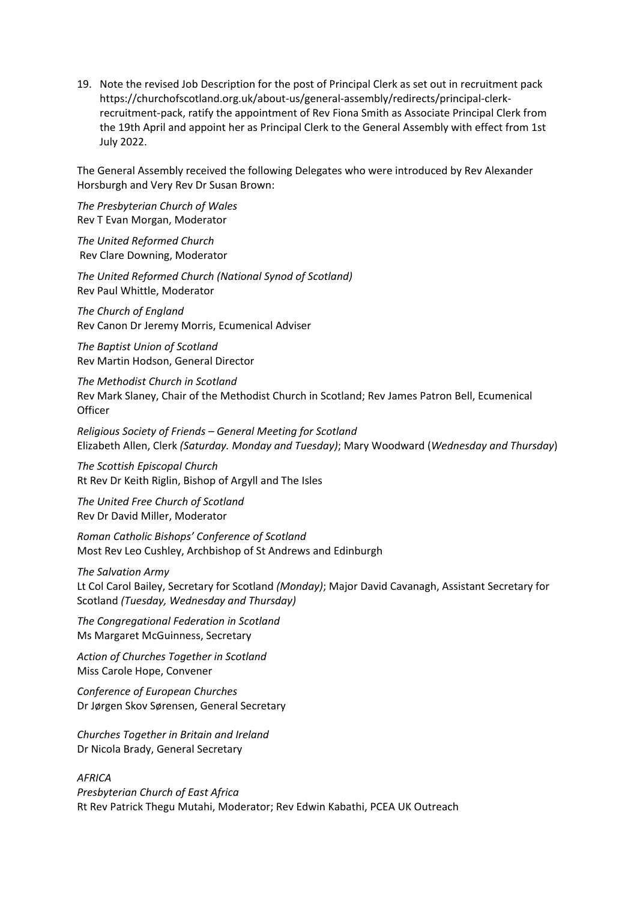19. Note the revised Job Description for the post of Principal Clerk as set out in recruitment pack https://churchofscotland.org.uk/about-us/general-assembly/redirects/principal-clerkrecruitment-pack, ratify the appointment of Rev Fiona Smith as Associate Principal Clerk from the 19th April and appoint her as Principal Clerk to the General Assembly with effect from 1st July 2022.

The General Assembly received the following Delegates who were introduced by Rev Alexander Horsburgh and Very Rev Dr Susan Brown:

*The Presbyterian Church of Wales*  Rev T Evan Morgan, Moderator

*The United Reformed Church* Rev Clare Downing, Moderator

*The United Reformed Church (National Synod of Scotland)* Rev Paul Whittle, Moderator

*The Church of England* Rev Canon Dr Jeremy Morris, Ecumenical Adviser

*The Baptist Union of Scotland* Rev Martin Hodson, General Director

*The Methodist Church in Scotland* Rev Mark Slaney, Chair of the Methodist Church in Scotland; Rev James Patron Bell, Ecumenical **Officer** 

*Religious Society of Friends – General Meeting for Scotland* Elizabeth Allen, Clerk *(Saturday. Monday and Tuesday)*; Mary Woodward (*Wednesday and Thursday*)

*The Scottish Episcopal Church* Rt Rev Dr Keith Riglin, Bishop of Argyll and The Isles

*The United Free Church of Scotland* Rev Dr David Miller, Moderator

*Roman Catholic Bishops' Conference of Scotland* Most Rev Leo Cushley, Archbishop of St Andrews and Edinburgh

#### *The Salvation Army*

Lt Col Carol Bailey, Secretary for Scotland *(Monday)*; Major David Cavanagh, Assistant Secretary for Scotland *(Tuesday, Wednesday and Thursday)*

*The Congregational Federation in Scotland* Ms Margaret McGuinness, Secretary

*Action of Churches Together in Scotland* Miss Carole Hope, Convener

*Conference of European Churches* Dr Jørgen Skov Sørensen, General Secretary

*Churches Together in Britain and Ireland* Dr Nicola Brady, General Secretary

#### *AFRICA*

*Presbyterian Church of East Africa*  Rt Rev Patrick Thegu Mutahi, Moderator; Rev Edwin Kabathi, PCEA UK Outreach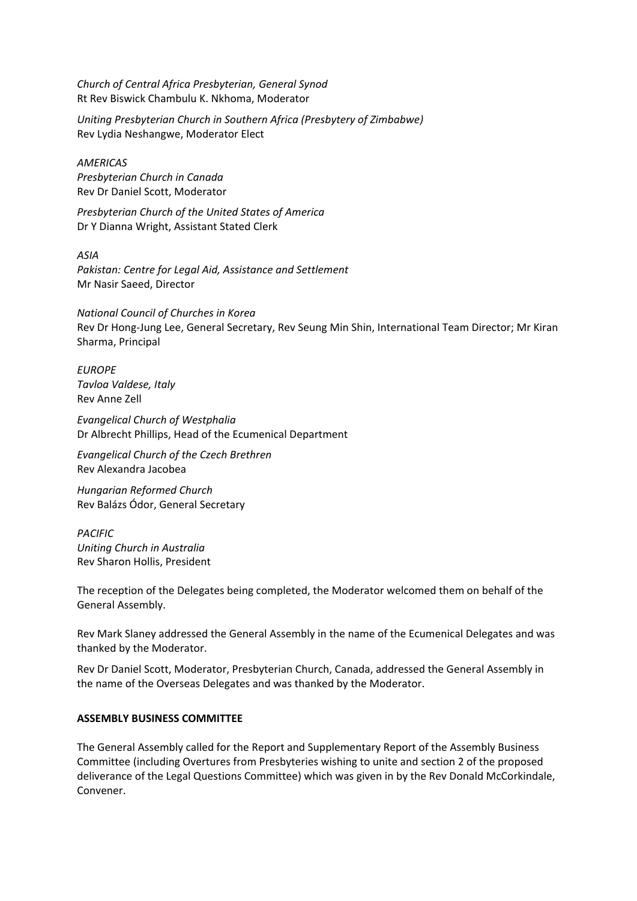*Church of Central Africa Presbyterian, General Synod*  Rt Rev Biswick Chambulu K. Nkhoma, Moderator

*Uniting Presbyterian Church in Southern Africa (Presbytery of Zimbabwe)*  Rev Lydia Neshangwe, Moderator Elect

*AMERICAS Presbyterian Church in Canada* Rev Dr Daniel Scott, Moderator

*Presbyterian Church of the United States of America* Dr Y Dianna Wright, Assistant Stated Clerk

*ASIA Pakistan: Centre for Legal Aid, Assistance and Settlement* Mr Nasir Saeed, Director

*National Council of Churches in Korea*  Rev Dr Hong-Jung Lee, General Secretary, Rev Seung Min Shin, International Team Director; Mr Kiran Sharma, Principal

*EUROPE Tavloa Valdese, Italy*  Rev Anne Zell

*Evangelical Church of Westphalia* Dr Albrecht Phillips, Head of the Ecumenical Department

*Evangelical Church of the Czech Brethren* Rev Alexandra Jacobea

*Hungarian Reformed Church* Rev Balázs Ódor, General Secretary

*PACIFIC Uniting Church in Australia* Rev Sharon Hollis, President

The reception of the Delegates being completed, the Moderator welcomed them on behalf of the General Assembly.

Rev Mark Slaney addressed the General Assembly in the name of the Ecumenical Delegates and was thanked by the Moderator.

Rev Dr Daniel Scott, Moderator, Presbyterian Church, Canada, addressed the General Assembly in the name of the Overseas Delegates and was thanked by the Moderator.

# **ASSEMBLY BUSINESS COMMITTEE**

The General Assembly called for the Report and Supplementary Report of the Assembly Business Committee (including Overtures from Presbyteries wishing to unite and section 2 of the proposed deliverance of the Legal Questions Committee) which was given in by the Rev Donald McCorkindale, Convener.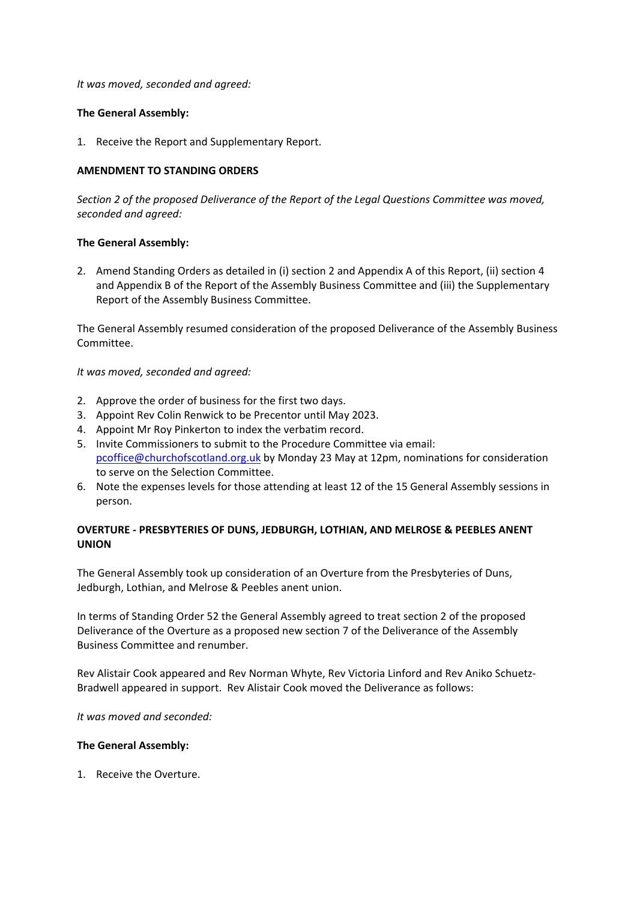*It was moved, seconded and agreed:*

# **The General Assembly:**

1. Receive the Report and Supplementary Report.

### **AMENDMENT TO STANDING ORDERS**

*Section 2 of the proposed Deliverance of the Report of the Legal Questions Committee was moved, seconded and agreed:*

### **The General Assembly:**

2. Amend Standing Orders as detailed in (i) section 2 and Appendix A of this Report, (ii) section 4 and Appendix B of the Report of the Assembly Business Committee and (iii) the Supplementary Report of the Assembly Business Committee.

The General Assembly resumed consideration of the proposed Deliverance of the Assembly Business Committee.

*It was moved, seconded and agreed:*

- 2. Approve the order of business for the first two days.
- 3. Appoint Rev Colin Renwick to be Precentor until May 2023.
- 4. Appoint Mr Roy Pinkerton to index the verbatim record.
- 5. Invite Commissioners to submit to the Procedure Committee via email: [pcoffice@churchofscotland.org.uk](mailto:pcoffice@churchofscotland.org.uk) by Monday 23 May at 12pm, nominations for consideration to serve on the Selection Committee.
- 6. Note the expenses levels for those attending at least 12 of the 15 General Assembly sessions in person.

# **OVERTURE - PRESBYTERIES OF DUNS, JEDBURGH, LOTHIAN, AND MELROSE & PEEBLES ANENT UNION**

The General Assembly took up consideration of an Overture from the Presbyteries of Duns, Jedburgh, Lothian, and Melrose & Peebles anent union.

In terms of Standing Order 52 the General Assembly agreed to treat section 2 of the proposed Deliverance of the Overture as a proposed new section 7 of the Deliverance of the Assembly Business Committee and renumber.

Rev Alistair Cook appeared and Rev Norman Whyte, Rev Victoria Linford and Rev Aniko Schuetz-Bradwell appeared in support. Rev Alistair Cook moved the Deliverance as follows:

*It was moved and seconded:*

#### **The General Assembly:**

1. Receive the Overture.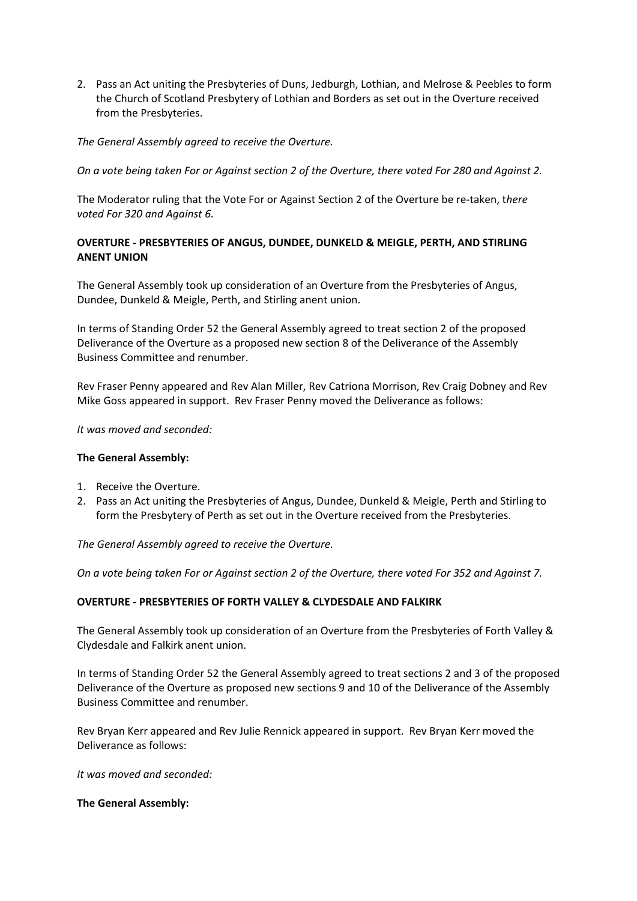2. Pass an Act uniting the Presbyteries of Duns, Jedburgh, Lothian, and Melrose & Peebles to form the Church of Scotland Presbytery of Lothian and Borders as set out in the Overture received from the Presbyteries.

# *The General Assembly agreed to receive the Overture.*

*On a vote being taken For or Against section 2 of the Overture, there voted For 280 and Against 2.*

The Moderator ruling that the Vote For or Against Section 2 of the Overture be re-taken, t*here voted For 320 and Against 6.*

# **OVERTURE - PRESBYTERIES OF ANGUS, DUNDEE, DUNKELD & MEIGLE, PERTH, AND STIRLING ANENT UNION**

The General Assembly took up consideration of an Overture from the Presbyteries of Angus, Dundee, Dunkeld & Meigle, Perth, and Stirling anent union.

In terms of Standing Order 52 the General Assembly agreed to treat section 2 of the proposed Deliverance of the Overture as a proposed new section 8 of the Deliverance of the Assembly Business Committee and renumber.

Rev Fraser Penny appeared and Rev Alan Miller, Rev Catriona Morrison, Rev Craig Dobney and Rev Mike Goss appeared in support. Rev Fraser Penny moved the Deliverance as follows:

*It was moved and seconded:*

# **The General Assembly:**

- 1. Receive the Overture.
- 2. Pass an Act uniting the Presbyteries of Angus, Dundee, Dunkeld & Meigle, Perth and Stirling to form the Presbytery of Perth as set out in the Overture received from the Presbyteries.

*The General Assembly agreed to receive the Overture.*

*On a vote being taken For or Against section 2 of the Overture, there voted For 352 and Against 7.*

# **OVERTURE - PRESBYTERIES OF FORTH VALLEY & CLYDESDALE AND FALKIRK**

The General Assembly took up consideration of an Overture from the Presbyteries of Forth Valley & Clydesdale and Falkirk anent union.

In terms of Standing Order 52 the General Assembly agreed to treat sections 2 and 3 of the proposed Deliverance of the Overture as proposed new sections 9 and 10 of the Deliverance of the Assembly Business Committee and renumber.

Rev Bryan Kerr appeared and Rev Julie Rennick appeared in support. Rev Bryan Kerr moved the Deliverance as follows:

*It was moved and seconded:*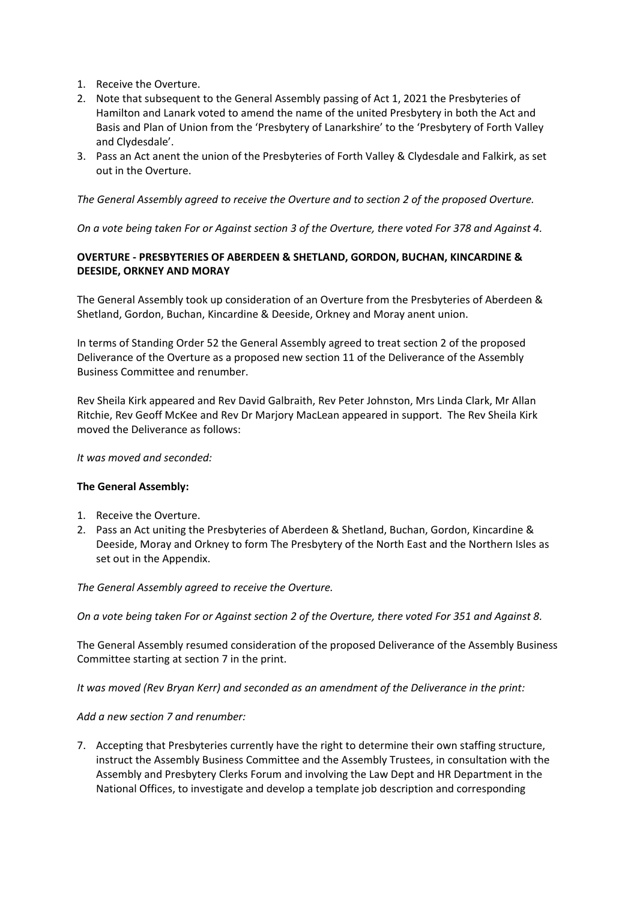- 1. Receive the Overture.
- 2. Note that subsequent to the General Assembly passing of Act 1, 2021 the Presbyteries of Hamilton and Lanark voted to amend the name of the united Presbytery in both the Act and Basis and Plan of Union from the 'Presbytery of Lanarkshire' to the 'Presbytery of Forth Valley and Clydesdale'.
- 3. Pass an Act anent the union of the Presbyteries of Forth Valley & Clydesdale and Falkirk, as set out in the Overture.

*The General Assembly agreed to receive the Overture and to section 2 of the proposed Overture.*

*On a vote being taken For or Against section 3 of the Overture, there voted For 378 and Against 4.*

# **OVERTURE - PRESBYTERIES OF ABERDEEN & SHETLAND, GORDON, BUCHAN, KINCARDINE & DEESIDE, ORKNEY AND MORAY**

The General Assembly took up consideration of an Overture from the Presbyteries of Aberdeen & Shetland, Gordon, Buchan, Kincardine & Deeside, Orkney and Moray anent union.

In terms of Standing Order 52 the General Assembly agreed to treat section 2 of the proposed Deliverance of the Overture as a proposed new section 11 of the Deliverance of the Assembly Business Committee and renumber.

Rev Sheila Kirk appeared and Rev David Galbraith, Rev Peter Johnston, Mrs Linda Clark, Mr Allan Ritchie, Rev Geoff McKee and Rev Dr Marjory MacLean appeared in support. The Rev Sheila Kirk moved the Deliverance as follows:

# *It was moved and seconded:*

# **The General Assembly:**

- 1. Receive the Overture.
- 2. Pass an Act uniting the Presbyteries of Aberdeen & Shetland, Buchan, Gordon, Kincardine & Deeside, Moray and Orkney to form The Presbytery of the North East and the Northern Isles as set out in the Appendix.

*The General Assembly agreed to receive the Overture.*

*On a vote being taken For or Against section 2 of the Overture, there voted For 351 and Against 8.*

The General Assembly resumed consideration of the proposed Deliverance of the Assembly Business Committee starting at section 7 in the print.

*It was moved (Rev Bryan Kerr) and seconded as an amendment of the Deliverance in the print:*

# *Add a new section 7 and renumber:*

7. Accepting that Presbyteries currently have the right to determine their own staffing structure, instruct the Assembly Business Committee and the Assembly Trustees, in consultation with the Assembly and Presbytery Clerks Forum and involving the Law Dept and HR Department in the National Offices, to investigate and develop a template job description and corresponding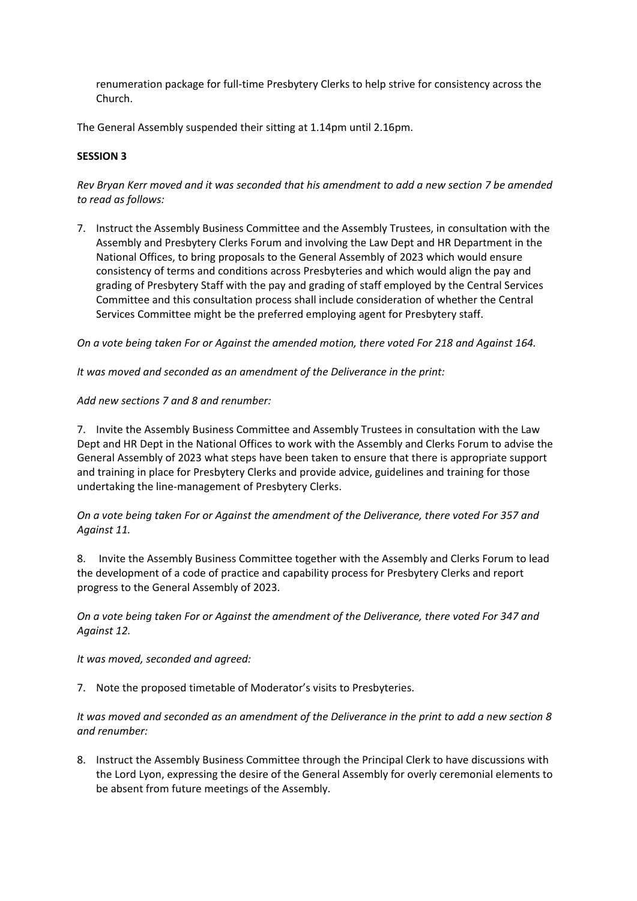renumeration package for full-time Presbytery Clerks to help strive for consistency across the Church.

The General Assembly suspended their sitting at 1.14pm until 2.16pm.

# **SESSION 3**

*Rev Bryan Kerr moved and it was seconded that his amendment to add a new section 7 be amended to read as follows:*

7. Instruct the Assembly Business Committee and the Assembly Trustees, in consultation with the Assembly and Presbytery Clerks Forum and involving the Law Dept and HR Department in the National Offices, to bring proposals to the General Assembly of 2023 which would ensure consistency of terms and conditions across Presbyteries and which would align the pay and grading of Presbytery Staff with the pay and grading of staff employed by the Central Services Committee and this consultation process shall include consideration of whether the Central Services Committee might be the preferred employing agent for Presbytery staff.

*On a vote being taken For or Against the amended motion, there voted For 218 and Against 164.*

*It was moved and seconded as an amendment of the Deliverance in the print:*

# *Add new sections 7 and 8 and renumber:*

7. Invite the Assembly Business Committee and Assembly Trustees in consultation with the Law Dept and HR Dept in the National Offices to work with the Assembly and Clerks Forum to advise the General Assembly of 2023 what steps have been taken to ensure that there is appropriate support and training in place for Presbytery Clerks and provide advice, guidelines and training for those undertaking the line-management of Presbytery Clerks.

*On a vote being taken For or Against the amendment of the Deliverance, there voted For 357 and Against 11.*

8. Invite the Assembly Business Committee together with the Assembly and Clerks Forum to lead the development of a code of practice and capability process for Presbytery Clerks and report progress to the General Assembly of 2023.

*On a vote being taken For or Against the amendment of the Deliverance, there voted For 347 and Against 12.*

*It was moved, seconded and agreed:*

7. Note the proposed timetable of Moderator's visits to Presbyteries.

*It was moved and seconded as an amendment of the Deliverance in the print to add a new section 8 and renumber:*

8. Instruct the Assembly Business Committee through the Principal Clerk to have discussions with the Lord Lyon, expressing the desire of the General Assembly for overly ceremonial elements to be absent from future meetings of the Assembly.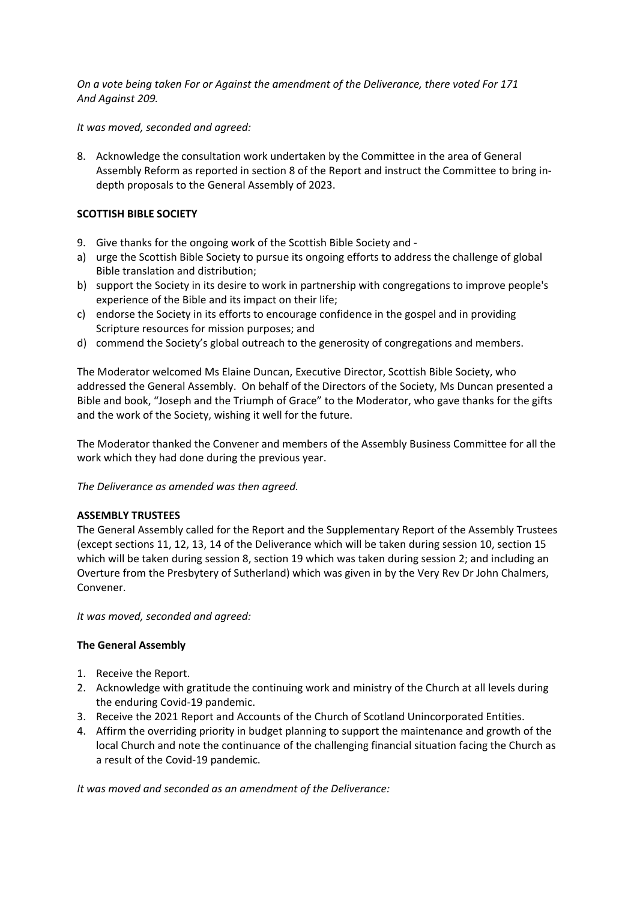*On a vote being taken For or Against the amendment of the Deliverance, there voted For 171 And Against 209.*

*It was moved, seconded and agreed:*

8. Acknowledge the consultation work undertaken by the Committee in the area of General Assembly Reform as reported in section 8 of the Report and instruct the Committee to bring indepth proposals to the General Assembly of 2023.

# **SCOTTISH BIBLE SOCIETY**

- 9. Give thanks for the ongoing work of the Scottish Bible Society and -
- a) urge the Scottish Bible Society to pursue its ongoing efforts to address the challenge of global Bible translation and distribution;
- b) support the Society in its desire to work in partnership with congregations to improve people's experience of the Bible and its impact on their life;
- c) endorse the Society in its efforts to encourage confidence in the gospel and in providing Scripture resources for mission purposes; and
- d) commend the Society's global outreach to the generosity of congregations and members.

The Moderator welcomed Ms Elaine Duncan, Executive Director, Scottish Bible Society, who addressed the General Assembly. On behalf of the Directors of the Society, Ms Duncan presented a Bible and book, "Joseph and the Triumph of Grace" to the Moderator, who gave thanks for the gifts and the work of the Society, wishing it well for the future.

The Moderator thanked the Convener and members of the Assembly Business Committee for all the work which they had done during the previous year.

*The Deliverance as amended was then agreed.*

# **ASSEMBLY TRUSTEES**

The General Assembly called for the Report and the Supplementary Report of the Assembly Trustees (except sections 11, 12, 13, 14 of the Deliverance which will be taken during session 10, section 15 which will be taken during session 8, section 19 which was taken during session 2; and including an Overture from the Presbytery of Sutherland) which was given in by the Very Rev Dr John Chalmers, Convener.

*It was moved, seconded and agreed:*

# **The General Assembly**

- 1. Receive the Report.
- 2. Acknowledge with gratitude the continuing work and ministry of the Church at all levels during the enduring Covid-19 pandemic.
- 3. Receive the 2021 Report and Accounts of the Church of Scotland Unincorporated Entities.
- 4. Affirm the overriding priority in budget planning to support the maintenance and growth of the local Church and note the continuance of the challenging financial situation facing the Church as a result of the Covid-19 pandemic.

*It was moved and seconded as an amendment of the Deliverance:*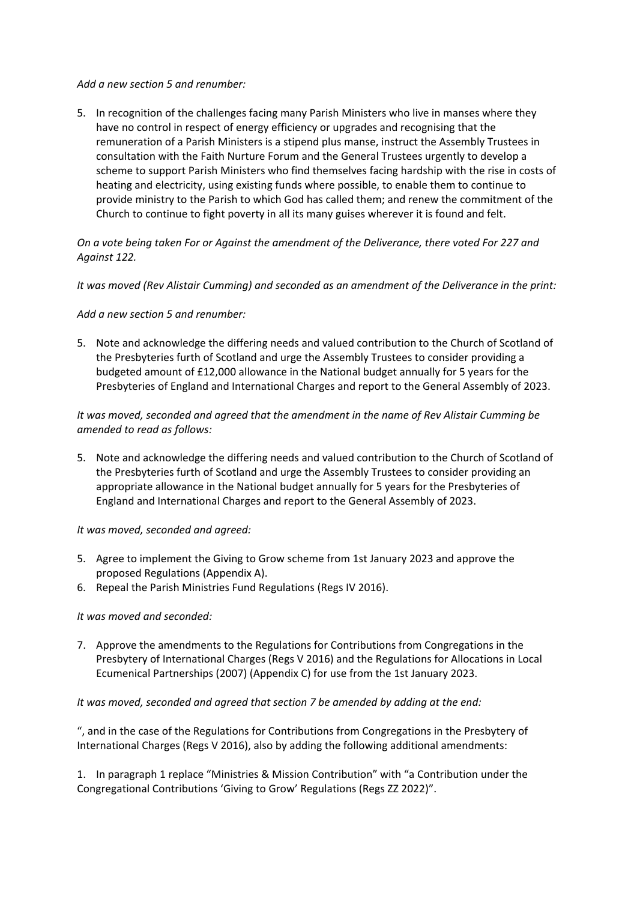# *Add a new section 5 and renumber:*

5. In recognition of the challenges facing many Parish Ministers who live in manses where they have no control in respect of energy efficiency or upgrades and recognising that the remuneration of a Parish Ministers is a stipend plus manse, instruct the Assembly Trustees in consultation with the Faith Nurture Forum and the General Trustees urgently to develop a scheme to support Parish Ministers who find themselves facing hardship with the rise in costs of heating and electricity, using existing funds where possible, to enable them to continue to provide ministry to the Parish to which God has called them; and renew the commitment of the Church to continue to fight poverty in all its many guises wherever it is found and felt.

*On a vote being taken For or Against the amendment of the Deliverance, there voted For 227 and Against 122.*

*It was moved (Rev Alistair Cumming) and seconded as an amendment of the Deliverance in the print:*

# *Add a new section 5 and renumber:*

5. Note and acknowledge the differing needs and valued contribution to the Church of Scotland of the Presbyteries furth of Scotland and urge the Assembly Trustees to consider providing a budgeted amount of £12,000 allowance in the National budget annually for 5 years for the Presbyteries of England and International Charges and report to the General Assembly of 2023.

# *It was moved, seconded and agreed that the amendment in the name of Rev Alistair Cumming be amended to read as follows:*

5. Note and acknowledge the differing needs and valued contribution to the Church of Scotland of the Presbyteries furth of Scotland and urge the Assembly Trustees to consider providing an appropriate allowance in the National budget annually for 5 years for the Presbyteries of England and International Charges and report to the General Assembly of 2023.

# *It was moved, seconded and agreed:*

- 5. Agree to implement the Giving to Grow scheme from 1st January 2023 and approve the proposed Regulations (Appendix A).
- 6. Repeal the Parish Ministries Fund Regulations (Regs IV 2016).

# *It was moved and seconded:*

7. Approve the amendments to the Regulations for Contributions from Congregations in the Presbytery of International Charges (Regs V 2016) and the Regulations for Allocations in Local Ecumenical Partnerships (2007) (Appendix C) for use from the 1st January 2023.

# *It was moved, seconded and agreed that section 7 be amended by adding at the end:*

", and in the case of the Regulations for Contributions from Congregations in the Presbytery of International Charges (Regs V 2016), also by adding the following additional amendments:

1. In paragraph 1 replace "Ministries & Mission Contribution" with "a Contribution under the Congregational Contributions 'Giving to Grow' Regulations (Regs ZZ 2022)".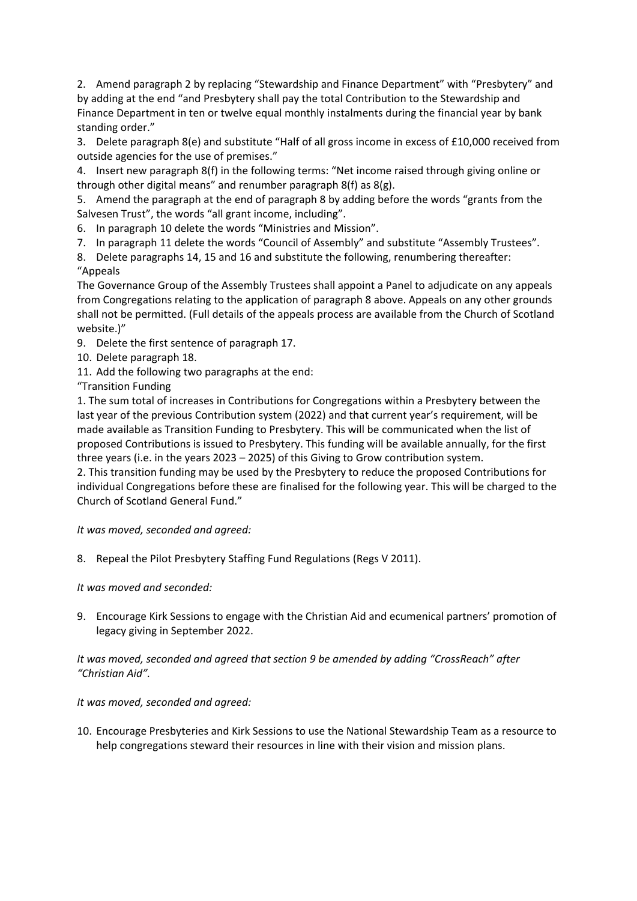2. Amend paragraph 2 by replacing "Stewardship and Finance Department" with "Presbytery" and by adding at the end "and Presbytery shall pay the total Contribution to the Stewardship and Finance Department in ten or twelve equal monthly instalments during the financial year by bank standing order."

3. Delete paragraph 8(e) and substitute "Half of all gross income in excess of £10,000 received from outside agencies for the use of premises."

4. Insert new paragraph 8(f) in the following terms: "Net income raised through giving online or through other digital means" and renumber paragraph 8(f) as 8(g).

5. Amend the paragraph at the end of paragraph 8 by adding before the words "grants from the Salvesen Trust", the words "all grant income, including".

6. In paragraph 10 delete the words "Ministries and Mission".

7. In paragraph 11 delete the words "Council of Assembly" and substitute "Assembly Trustees".

8. Delete paragraphs 14, 15 and 16 and substitute the following, renumbering thereafter: "Appeals

The Governance Group of the Assembly Trustees shall appoint a Panel to adjudicate on any appeals from Congregations relating to the application of paragraph 8 above. Appeals on any other grounds shall not be permitted. (Full details of the appeals process are available from the Church of Scotland website.)"

- 9. Delete the first sentence of paragraph 17.
- 10. Delete paragraph 18.
- 11. Add the following two paragraphs at the end:

"Transition Funding

1. The sum total of increases in Contributions for Congregations within a Presbytery between the last year of the previous Contribution system (2022) and that current year's requirement, will be made available as Transition Funding to Presbytery. This will be communicated when the list of proposed Contributions is issued to Presbytery. This funding will be available annually, for the first three years (i.e. in the years 2023 – 2025) of this Giving to Grow contribution system.

2. This transition funding may be used by the Presbytery to reduce the proposed Contributions for individual Congregations before these are finalised for the following year. This will be charged to the Church of Scotland General Fund."

*It was moved, seconded and agreed:*

8. Repeal the Pilot Presbytery Staffing Fund Regulations (Regs V 2011).

*It was moved and seconded:* 

9. Encourage Kirk Sessions to engage with the Christian Aid and ecumenical partners' promotion of legacy giving in September 2022.

# *It was moved, seconded and agreed that section 9 be amended by adding "CrossReach" after "Christian Aid".*

# *It was moved, seconded and agreed:*

10. Encourage Presbyteries and Kirk Sessions to use the National Stewardship Team as a resource to help congregations steward their resources in line with their vision and mission plans.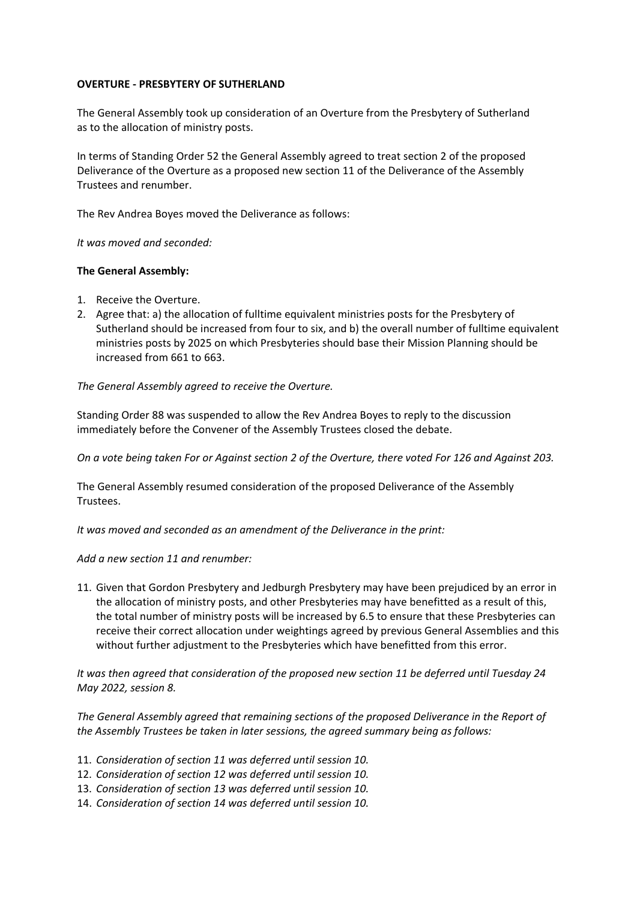### **OVERTURE - PRESBYTERY OF SUTHERLAND**

The General Assembly took up consideration of an Overture from the Presbytery of Sutherland as to the allocation of ministry posts.

In terms of Standing Order 52 the General Assembly agreed to treat section 2 of the proposed Deliverance of the Overture as a proposed new section 11 of the Deliverance of the Assembly Trustees and renumber.

The Rev Andrea Boyes moved the Deliverance as follows:

*It was moved and seconded:*

### **The General Assembly:**

- 1. Receive the Overture.
- 2. Agree that: a) the allocation of fulltime equivalent ministries posts for the Presbytery of Sutherland should be increased from four to six, and b) the overall number of fulltime equivalent ministries posts by 2025 on which Presbyteries should base their Mission Planning should be increased from 661 to 663.

*The General Assembly agreed to receive the Overture.*

Standing Order 88 was suspended to allow the Rev Andrea Boyes to reply to the discussion immediately before the Convener of the Assembly Trustees closed the debate.

*On a vote being taken For or Against section 2 of the Overture, there voted For 126 and Against 203.*

The General Assembly resumed consideration of the proposed Deliverance of the Assembly Trustees.

*It was moved and seconded as an amendment of the Deliverance in the print:*

*Add a new section 11 and renumber:*

11. Given that Gordon Presbytery and Jedburgh Presbytery may have been prejudiced by an error in the allocation of ministry posts, and other Presbyteries may have benefitted as a result of this, the total number of ministry posts will be increased by 6.5 to ensure that these Presbyteries can receive their correct allocation under weightings agreed by previous General Assemblies and this without further adjustment to the Presbyteries which have benefitted from this error.

*It was then agreed that consideration of the proposed new section 11 be deferred until Tuesday 24 May 2022, session 8.*

*The General Assembly agreed that remaining sections of the proposed Deliverance in the Report of the Assembly Trustees be taken in later sessions, the agreed summary being as follows:*

- 11. *Consideration of section 11 was deferred until session 10.*
- 12. *Consideration of section 12 was deferred until session 10.*
- 13. *Consideration of section 13 was deferred until session 10.*
- 14. *Consideration of section 14 was deferred until session 10.*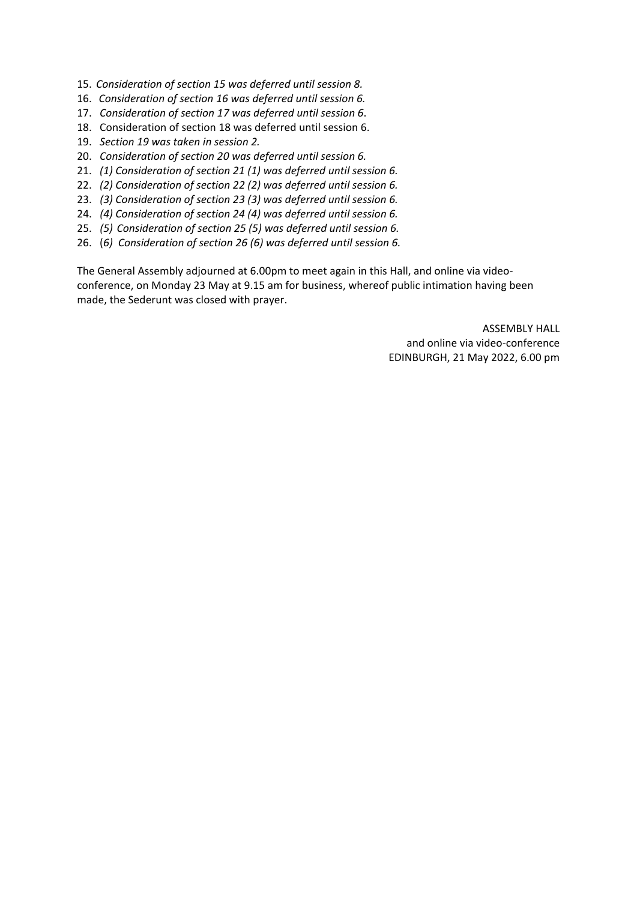- 15. *Consideration of section 15 was deferred until session 8.*
- 16. *Consideration of section 16 was deferred until session 6.*
- 17. *Consideration of section 17 was deferred until session 6*.
- 18. Consideration of section 18 was deferred until session 6.
- 19. *Section 19 was taken in session 2.*
- 20. *Consideration of section 20 was deferred until session 6.*
- 21. *(1) Consideration of section 21 (1) was deferred until session 6.*
- 22. *(2) Consideration of section 22 (2) was deferred until session 6.*
- 23. *(3) Consideration of section 23 (3) was deferred until session 6.*
- 24. *(4) Consideration of section 24 (4) was deferred until session 6.*
- 25. *(5) Consideration of section 25 (5) was deferred until session 6.*
- 26. (*6) Consideration of section 26 (6) was deferred until session 6.*

The General Assembly adjourned at 6.00pm to meet again in this Hall, and online via videoconference, on Monday 23 May at 9.15 am for business, whereof public intimation having been made, the Sederunt was closed with prayer.

> ASSEMBLY HALL and online via video-conference EDINBURGH, 21 May 2022, 6.00 pm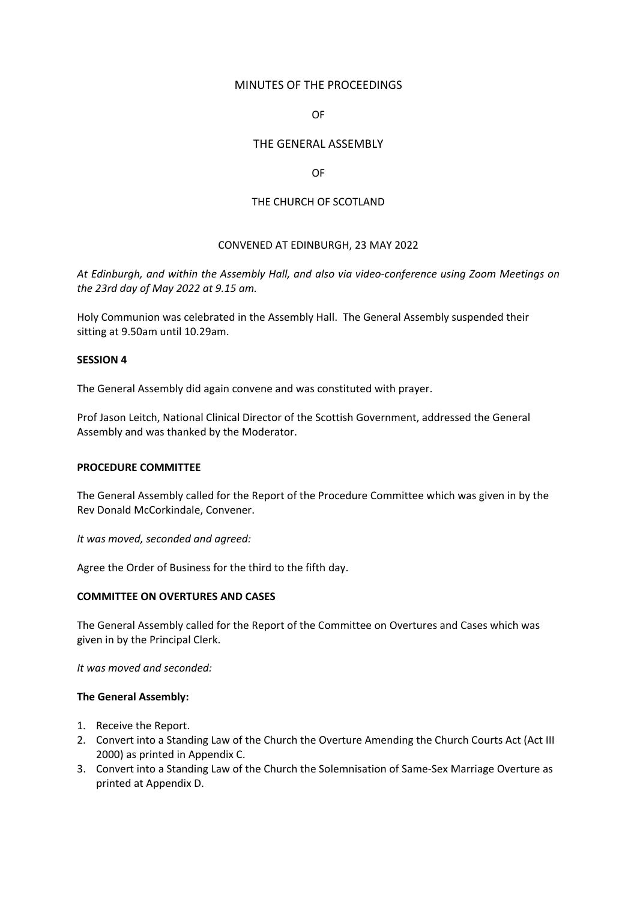# MINUTES OF THE PROCEEDINGS

# OF

# THE GENERAL ASSEMBLY

### OF

# THE CHURCH OF SCOTLAND

# CONVENED AT EDINBURGH, 23 MAY 2022

*At Edinburgh, and within the Assembly Hall, and also via video-conference using Zoom Meetings on the 23rd day of May 2022 at 9.15 am.*

Holy Communion was celebrated in the Assembly Hall. The General Assembly suspended their sitting at 9.50am until 10.29am.

#### **SESSION 4**

The General Assembly did again convene and was constituted with prayer.

Prof Jason Leitch, National Clinical Director of the Scottish Government, addressed the General Assembly and was thanked by the Moderator.

#### **PROCEDURE COMMITTEE**

The General Assembly called for the Report of the Procedure Committee which was given in by the Rev Donald McCorkindale, Convener.

*It was moved, seconded and agreed:*

Agree the Order of Business for the third to the fifth day.

# **COMMITTEE ON OVERTURES AND CASES**

The General Assembly called for the Report of the Committee on Overtures and Cases which was given in by the Principal Clerk.

*It was moved and seconded:*

- 1. Receive the Report.
- 2. Convert into a Standing Law of the Church the Overture Amending the Church Courts Act (Act III 2000) as printed in Appendix C.
- 3. Convert into a Standing Law of the Church the Solemnisation of Same-Sex Marriage Overture as printed at Appendix D.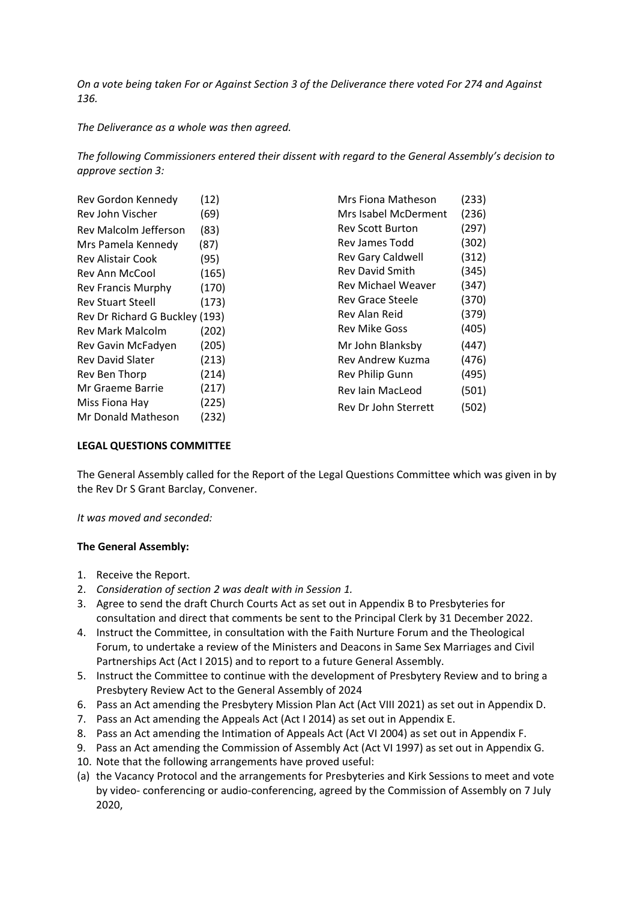*On a vote being taken For or Against Section 3 of the Deliverance there voted For 274 and Against 136.*

*The Deliverance as a whole was then agreed.*

*The following Commissioners entered their dissent with regard to the General Assembly's decision to approve section 3:*

| Rev Gordon Kennedy             | (12)  | Mrs Fiona Matheson        | (233) |
|--------------------------------|-------|---------------------------|-------|
| Rev John Vischer               | (69)  | Mrs Isabel McDerment      | (236) |
| Rev Malcolm Jefferson          | (83)  | <b>Rev Scott Burton</b>   | (297) |
| Mrs Pamela Kennedy             | (87)  | Rev James Todd            | (302) |
| Rev Alistair Cook              | (95)  | Rev Gary Caldwell         | (312) |
| Rev Ann McCool                 | (165) | <b>Rev David Smith</b>    | (345) |
| <b>Rev Francis Murphy</b>      | (170) | <b>Rev Michael Weaver</b> | (347) |
| <b>Rev Stuart Steell</b>       | (173) | <b>Rev Grace Steele</b>   | (370) |
| Rev Dr Richard G Buckley (193) |       | Rev Alan Reid             | (379) |
| <b>Rev Mark Malcolm</b>        | (202) | <b>Rev Mike Goss</b>      | (405) |
| Rev Gavin McFadyen             | (205) | Mr John Blanksby          | (447) |
| <b>Rev David Slater</b>        | (213) | Rev Andrew Kuzma          | (476) |
| Rev Ben Thorp                  | (214) | Rev Philip Gunn           | (495) |
| Mr Graeme Barrie               | (217) | Rev Iain MacLeod          | (501) |
| Miss Fiona Hay                 | (225) | Rev Dr John Sterrett      | (502) |
| Mr Donald Matheson             | (232) |                           |       |

# **LEGAL QUESTIONS COMMITTEE**

The General Assembly called for the Report of the Legal Questions Committee which was given in by the Rev Dr S Grant Barclay, Convener.

*It was moved and seconded:*

- 1. Receive the Report.
- 2. *Consideration of section 2 was dealt with in Session 1.*
- 3. Agree to send the draft Church Courts Act as set out in Appendix B to Presbyteries for consultation and direct that comments be sent to the Principal Clerk by 31 December 2022.
- 4. Instruct the Committee, in consultation with the Faith Nurture Forum and the Theological Forum, to undertake a review of the Ministers and Deacons in Same Sex Marriages and Civil Partnerships Act (Act I 2015) and to report to a future General Assembly.
- 5. Instruct the Committee to continue with the development of Presbytery Review and to bring a Presbytery Review Act to the General Assembly of 2024
- 6. Pass an Act amending the Presbytery Mission Plan Act (Act VIII 2021) as set out in Appendix D.
- 7. Pass an Act amending the Appeals Act (Act I 2014) as set out in Appendix E.
- 8. Pass an Act amending the Intimation of Appeals Act (Act VI 2004) as set out in Appendix F.
- 9. Pass an Act amending the Commission of Assembly Act (Act VI 1997) as set out in Appendix G.
- 10. Note that the following arrangements have proved useful:
- (a) the Vacancy Protocol and the arrangements for Presbyteries and Kirk Sessions to meet and vote by video- conferencing or audio-conferencing, agreed by the Commission of Assembly on 7 July 2020,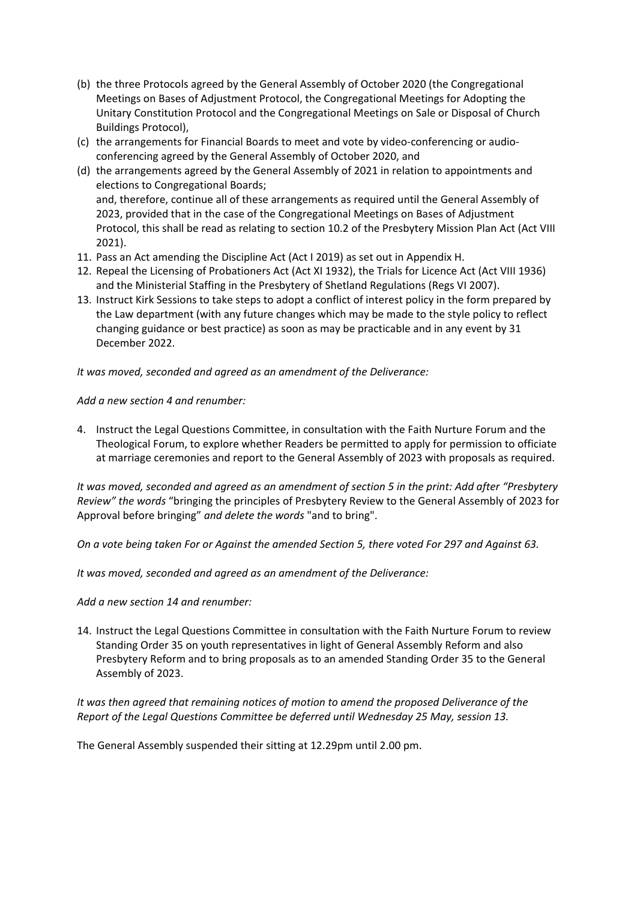- (b) the three Protocols agreed by the General Assembly of October 2020 (the Congregational Meetings on Bases of Adjustment Protocol, the Congregational Meetings for Adopting the Unitary Constitution Protocol and the Congregational Meetings on Sale or Disposal of Church Buildings Protocol),
- (c) the arrangements for Financial Boards to meet and vote by video-conferencing or audioconferencing agreed by the General Assembly of October 2020, and
- (d) the arrangements agreed by the General Assembly of 2021 in relation to appointments and elections to Congregational Boards; and, therefore, continue all of these arrangements as required until the General Assembly of 2023, provided that in the case of the Congregational Meetings on Bases of Adjustment Protocol, this shall be read as relating to section 10.2 of the Presbytery Mission Plan Act (Act VIII 2021).
- 11. Pass an Act amending the Discipline Act (Act I 2019) as set out in Appendix H.
- 12. Repeal the Licensing of Probationers Act (Act XI 1932), the Trials for Licence Act (Act VIII 1936) and the Ministerial Staffing in the Presbytery of Shetland Regulations (Regs VI 2007).
- 13. Instruct Kirk Sessions to take steps to adopt a conflict of interest policy in the form prepared by the Law department (with any future changes which may be made to the style policy to reflect changing guidance or best practice) as soon as may be practicable and in any event by 31 December 2022.

*It was moved, seconded and agreed as an amendment of the Deliverance:*

*Add a new section 4 and renumber:*

4. Instruct the Legal Questions Committee, in consultation with the Faith Nurture Forum and the Theological Forum, to explore whether Readers be permitted to apply for permission to officiate at marriage ceremonies and report to the General Assembly of 2023 with proposals as required.

*It was moved, seconded and agreed as an amendment of section 5 in the print: Add after "Presbytery Review" the words* "bringing the principles of Presbytery Review to the General Assembly of 2023 for Approval before bringing" *and delete the words* "and to bring".

*On a vote being taken For or Against the amended Section 5, there voted For 297 and Against 63.*

*It was moved, seconded and agreed as an amendment of the Deliverance:*

*Add a new section 14 and renumber:*

14. Instruct the Legal Questions Committee in consultation with the Faith Nurture Forum to review Standing Order 35 on youth representatives in light of General Assembly Reform and also Presbytery Reform and to bring proposals as to an amended Standing Order 35 to the General Assembly of 2023.

*It was then agreed that remaining notices of motion to amend the proposed Deliverance of the Report of the Legal Questions Committee be deferred until Wednesday 25 May, session 13.*

The General Assembly suspended their sitting at 12.29pm until 2.00 pm.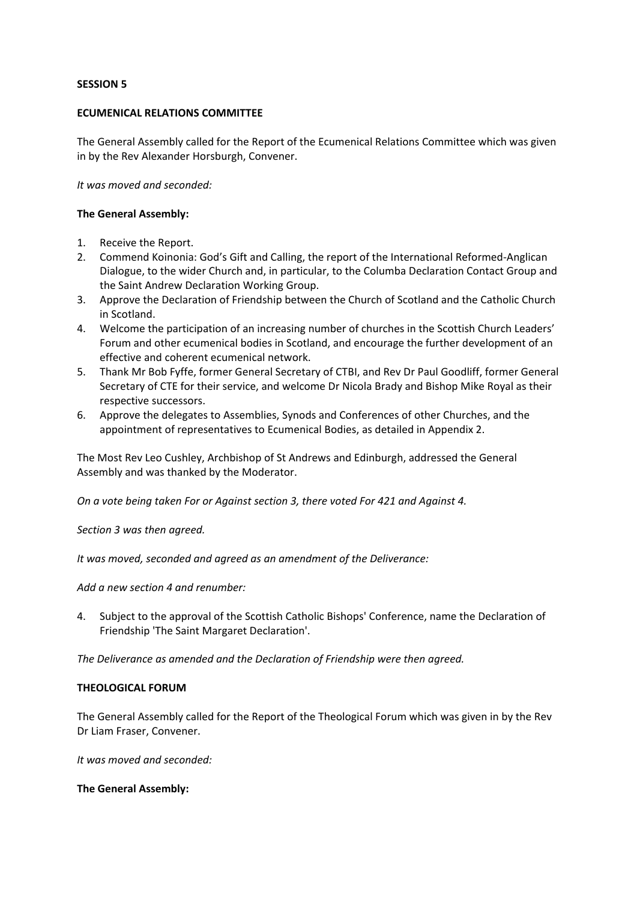### **SESSION 5**

### **ECUMENICAL RELATIONS COMMITTEE**

The General Assembly called for the Report of the Ecumenical Relations Committee which was given in by the Rev Alexander Horsburgh, Convener.

*It was moved and seconded:*

### **The General Assembly:**

- 1. Receive the Report.
- 2. Commend Koinonia: God's Gift and Calling, the report of the International Reformed-Anglican Dialogue, to the wider Church and, in particular, to the Columba Declaration Contact Group and the Saint Andrew Declaration Working Group.
- 3. Approve the Declaration of Friendship between the Church of Scotland and the Catholic Church in Scotland.
- 4. Welcome the participation of an increasing number of churches in the Scottish Church Leaders' Forum and other ecumenical bodies in Scotland, and encourage the further development of an effective and coherent ecumenical network.
- 5. Thank Mr Bob Fyffe, former General Secretary of CTBI, and Rev Dr Paul Goodliff, former General Secretary of CTE for their service, and welcome Dr Nicola Brady and Bishop Mike Royal as their respective successors.
- 6. Approve the delegates to Assemblies, Synods and Conferences of other Churches, and the appointment of representatives to Ecumenical Bodies, as detailed in Appendix 2.

The Most Rev Leo Cushley, Archbishop of St Andrews and Edinburgh, addressed the General Assembly and was thanked by the Moderator.

*On a vote being taken For or Against section 3, there voted For 421 and Against 4.*

*Section 3 was then agreed.*

*It was moved, seconded and agreed as an amendment of the Deliverance:*

*Add a new section 4 and renumber:*

4. Subject to the approval of the Scottish Catholic Bishops' Conference, name the Declaration of Friendship 'The Saint Margaret Declaration'.

*The Deliverance as amended and the Declaration of Friendship were then agreed.*

#### **THEOLOGICAL FORUM**

The General Assembly called for the Report of the Theological Forum which was given in by the Rev Dr Liam Fraser, Convener.

*It was moved and seconded:*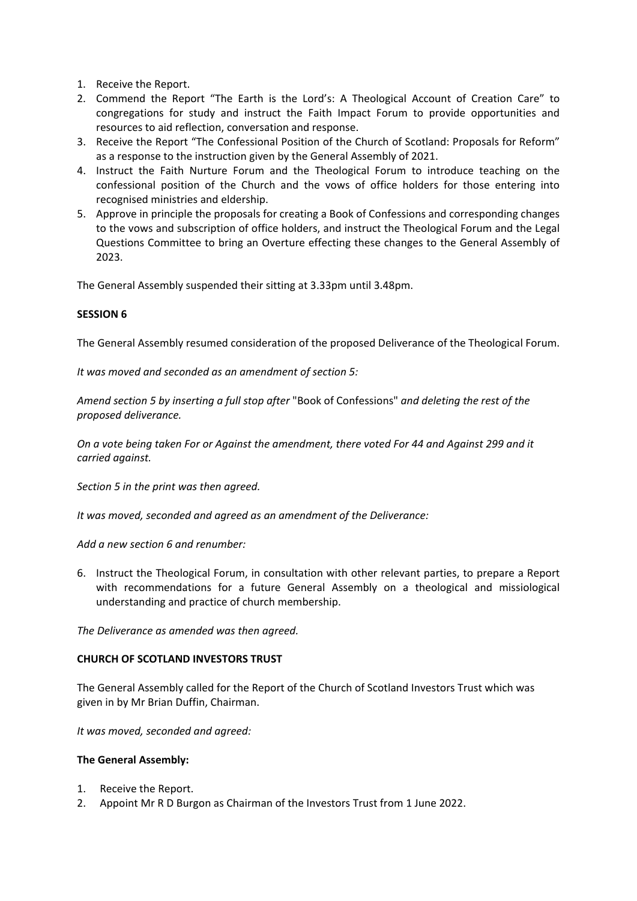- 1. Receive the Report.
- 2. Commend the Report "The Earth is the Lord's: A Theological Account of Creation Care" to congregations for study and instruct the Faith Impact Forum to provide opportunities and resources to aid reflection, conversation and response.
- 3. Receive the Report "The Confessional Position of the Church of Scotland: Proposals for Reform" as a response to the instruction given by the General Assembly of 2021.
- 4. Instruct the Faith Nurture Forum and the Theological Forum to introduce teaching on the confessional position of the Church and the vows of office holders for those entering into recognised ministries and eldership.
- 5. Approve in principle the proposals for creating a Book of Confessions and corresponding changes to the vows and subscription of office holders, and instruct the Theological Forum and the Legal Questions Committee to bring an Overture effecting these changes to the General Assembly of 2023.

The General Assembly suspended their sitting at 3.33pm until 3.48pm.

# **SESSION 6**

The General Assembly resumed consideration of the proposed Deliverance of the Theological Forum.

*It was moved and seconded as an amendment of section 5:*

*Amend section 5 by inserting a full stop after* "Book of Confessions" *and deleting the rest of the proposed deliverance.*

*On a vote being taken For or Against the amendment, there voted For 44 and Against 299 and it carried against.*

*Section 5 in the print was then agreed.*

*It was moved, seconded and agreed as an amendment of the Deliverance:*

*Add a new section 6 and renumber:*

6. Instruct the Theological Forum, in consultation with other relevant parties, to prepare a Report with recommendations for a future General Assembly on a theological and missiological understanding and practice of church membership.

*The Deliverance as amended was then agreed.*

# **CHURCH OF SCOTLAND INVESTORS TRUST**

The General Assembly called for the Report of the Church of Scotland Investors Trust which was given in by Mr Brian Duffin, Chairman.

*It was moved, seconded and agreed:*

- 1. Receive the Report.
- 2. Appoint Mr R D Burgon as Chairman of the Investors Trust from 1 June 2022.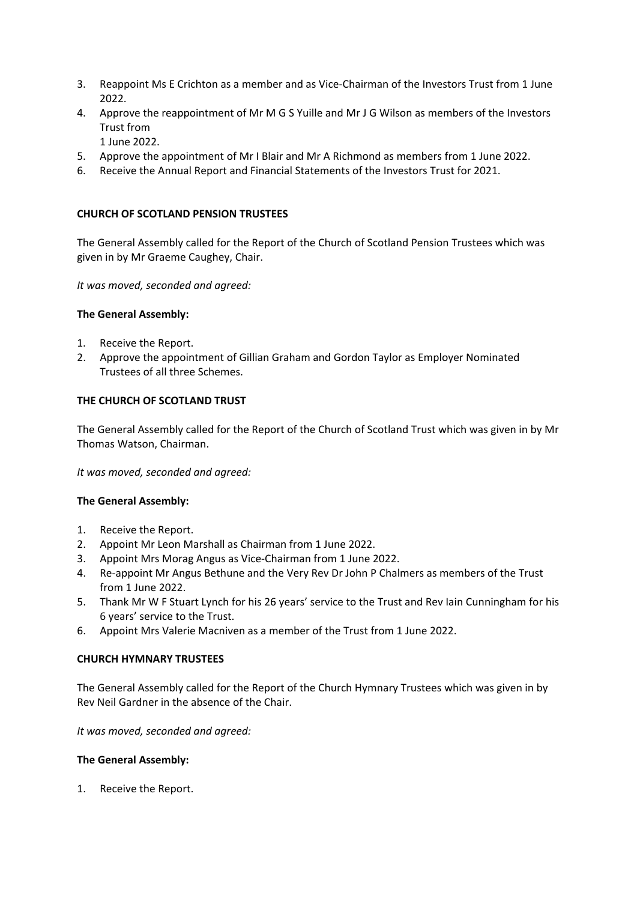- 3. Reappoint Ms E Crichton as a member and as Vice-Chairman of the Investors Trust from 1 June 2022.
- 4. Approve the reappointment of Mr M G S Yuille and Mr J G Wilson as members of the Investors Trust from
	- 1 June 2022.
- 5. Approve the appointment of Mr I Blair and Mr A Richmond as members from 1 June 2022.
- 6. Receive the Annual Report and Financial Statements of the Investors Trust for 2021.

# **CHURCH OF SCOTLAND PENSION TRUSTEES**

The General Assembly called for the Report of the Church of Scotland Pension Trustees which was given in by Mr Graeme Caughey, Chair.

*It was moved, seconded and agreed:*

# **The General Assembly:**

- 1. Receive the Report.
- 2. Approve the appointment of Gillian Graham and Gordon Taylor as Employer Nominated Trustees of all three Schemes.

# **THE CHURCH OF SCOTLAND TRUST**

The General Assembly called for the Report of the Church of Scotland Trust which was given in by Mr Thomas Watson, Chairman.

*It was moved, seconded and agreed:*

# **The General Assembly:**

- 1. Receive the Report.
- 2. Appoint Mr Leon Marshall as Chairman from 1 June 2022.
- 3. Appoint Mrs Morag Angus as Vice-Chairman from 1 June 2022.
- 4. Re-appoint Mr Angus Bethune and the Very Rev Dr John P Chalmers as members of the Trust from 1 June 2022.
- 5. Thank Mr W F Stuart Lynch for his 26 years' service to the Trust and Rev Iain Cunningham for his 6 years' service to the Trust.
- 6. Appoint Mrs Valerie Macniven as a member of the Trust from 1 June 2022.

# **CHURCH HYMNARY TRUSTEES**

The General Assembly called for the Report of the Church Hymnary Trustees which was given in by Rev Neil Gardner in the absence of the Chair.

*It was moved, seconded and agreed:*

# **The General Assembly:**

1. Receive the Report.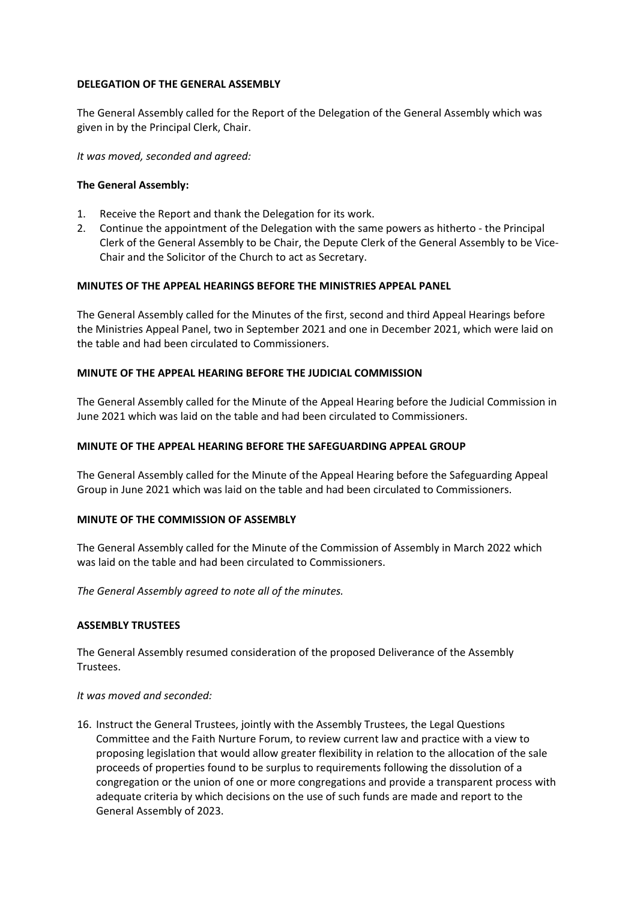# **DELEGATION OF THE GENERAL ASSEMBLY**

The General Assembly called for the Report of the Delegation of the General Assembly which was given in by the Principal Clerk, Chair.

*It was moved, seconded and agreed:*

### **The General Assembly:**

- 1. Receive the Report and thank the Delegation for its work.
- 2. Continue the appointment of the Delegation with the same powers as hitherto the Principal Clerk of the General Assembly to be Chair, the Depute Clerk of the General Assembly to be Vice-Chair and the Solicitor of the Church to act as Secretary.

### **MINUTES OF THE APPEAL HEARINGS BEFORE THE MINISTRIES APPEAL PANEL**

The General Assembly called for the Minutes of the first, second and third Appeal Hearings before the Ministries Appeal Panel, two in September 2021 and one in December 2021, which were laid on the table and had been circulated to Commissioners.

### **MINUTE OF THE APPEAL HEARING BEFORE THE JUDICIAL COMMISSION**

The General Assembly called for the Minute of the Appeal Hearing before the Judicial Commission in June 2021 which was laid on the table and had been circulated to Commissioners.

### **MINUTE OF THE APPEAL HEARING BEFORE THE SAFEGUARDING APPEAL GROUP**

The General Assembly called for the Minute of the Appeal Hearing before the Safeguarding Appeal Group in June 2021 which was laid on the table and had been circulated to Commissioners.

#### **MINUTE OF THE COMMISSION OF ASSEMBLY**

The General Assembly called for the Minute of the Commission of Assembly in March 2022 which was laid on the table and had been circulated to Commissioners.

*The General Assembly agreed to note all of the minutes.*

#### **ASSEMBLY TRUSTEES**

The General Assembly resumed consideration of the proposed Deliverance of the Assembly Trustees.

### *It was moved and seconded:*

16. Instruct the General Trustees, jointly with the Assembly Trustees, the Legal Questions Committee and the Faith Nurture Forum, to review current law and practice with a view to proposing legislation that would allow greater flexibility in relation to the allocation of the sale proceeds of properties found to be surplus to requirements following the dissolution of a congregation or the union of one or more congregations and provide a transparent process with adequate criteria by which decisions on the use of such funds are made and report to the General Assembly of 2023.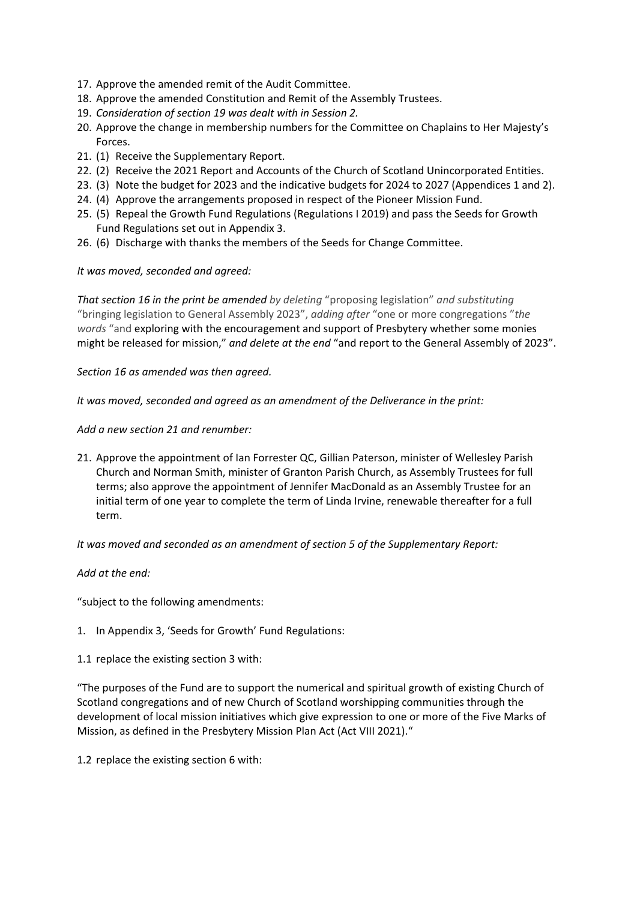- 17. Approve the amended remit of the Audit Committee.
- 18. Approve the amended Constitution and Remit of the Assembly Trustees.
- 19. *Consideration of section 19 was dealt with in Session 2.*
- 20. Approve the change in membership numbers for the Committee on Chaplains to Her Majesty's Forces.
- 21. (1) Receive the Supplementary Report.
- 22. (2) Receive the 2021 Report and Accounts of the Church of Scotland Unincorporated Entities.
- 23. (3) Note the budget for 2023 and the indicative budgets for 2024 to 2027 (Appendices 1 and 2).
- 24. (4) Approve the arrangements proposed in respect of the Pioneer Mission Fund.
- 25. (5) Repeal the Growth Fund Regulations (Regulations I 2019) and pass the Seeds for Growth Fund Regulations set out in Appendix 3.
- 26. (6) Discharge with thanks the members of the Seeds for Change Committee.

*It was moved, seconded and agreed:*

*That section 16 in the print be amended by deleting* "proposing legislation" *and substituting* "bringing legislation to General Assembly 2023", *adding after* "one or more congregations "*the words* "and exploring with the encouragement and support of Presbytery whether some monies might be released for mission," *and delete at the end* "and report to the General Assembly of 2023".

*Section 16 as amended was then agreed.*

*It was moved, seconded and agreed as an amendment of the Deliverance in the print:*

*Add a new section 21 and renumber:*

21. Approve the appointment of Ian Forrester QC, Gillian Paterson, minister of Wellesley Parish Church and Norman Smith, minister of Granton Parish Church, as Assembly Trustees for full terms; also approve the appointment of Jennifer MacDonald as an Assembly Trustee for an initial term of one year to complete the term of Linda Irvine, renewable thereafter for a full term.

*It was moved and seconded as an amendment of section 5 of the Supplementary Report:*

*Add at the end:*

"subject to the following amendments:

- 1. In Appendix 3, 'Seeds for Growth' Fund Regulations:
- 1.1 replace the existing section 3 with:

"The purposes of the Fund are to support the numerical and spiritual growth of existing Church of Scotland congregations and of new Church of Scotland worshipping communities through the development of local mission initiatives which give expression to one or more of the Five Marks of Mission, as defined in the Presbytery Mission Plan Act (Act VIII 2021)."

1.2 replace the existing section 6 with: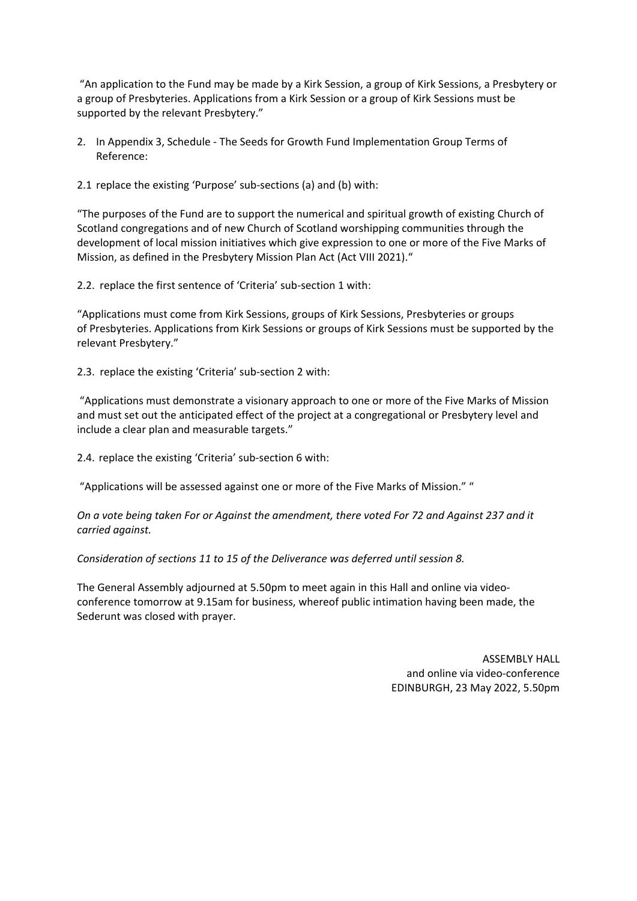"An application to the Fund may be made by a Kirk Session, a group of Kirk Sessions, a Presbytery or a group of Presbyteries. Applications from a Kirk Session or a group of Kirk Sessions must be supported by the relevant Presbytery."

- 2. In Appendix 3, Schedule The Seeds for Growth Fund Implementation Group Terms of Reference:
- 2.1 replace the existing 'Purpose' sub-sections (a) and (b) with:

"The purposes of the Fund are to support the numerical and spiritual growth of existing Church of Scotland congregations and of new Church of Scotland worshipping communities through the development of local mission initiatives which give expression to one or more of the Five Marks of Mission, as defined in the Presbytery Mission Plan Act (Act VIII 2021)."

2.2. replace the first sentence of 'Criteria' sub-section 1 with:

"Applications must come from Kirk Sessions, groups of Kirk Sessions, Presbyteries or groups of Presbyteries. Applications from Kirk Sessions or groups of Kirk Sessions must be supported by the relevant Presbytery."

2.3. replace the existing 'Criteria' sub-section 2 with:

"Applications must demonstrate a visionary approach to one or more of the Five Marks of Mission and must set out the anticipated effect of the project at a congregational or Presbytery level and include a clear plan and measurable targets."

2.4. replace the existing 'Criteria' sub-section 6 with:

"Applications will be assessed against one or more of the Five Marks of Mission." "

*On a vote being taken For or Against the amendment, there voted For 72 and Against 237 and it carried against.*

*Consideration of sections 11 to 15 of the Deliverance was deferred until session 8.*

The General Assembly adjourned at 5.50pm to meet again in this Hall and online via videoconference tomorrow at 9.15am for business, whereof public intimation having been made, the Sederunt was closed with prayer.

> ASSEMBLY HALL and online via video-conference EDINBURGH, 23 May 2022, 5.50pm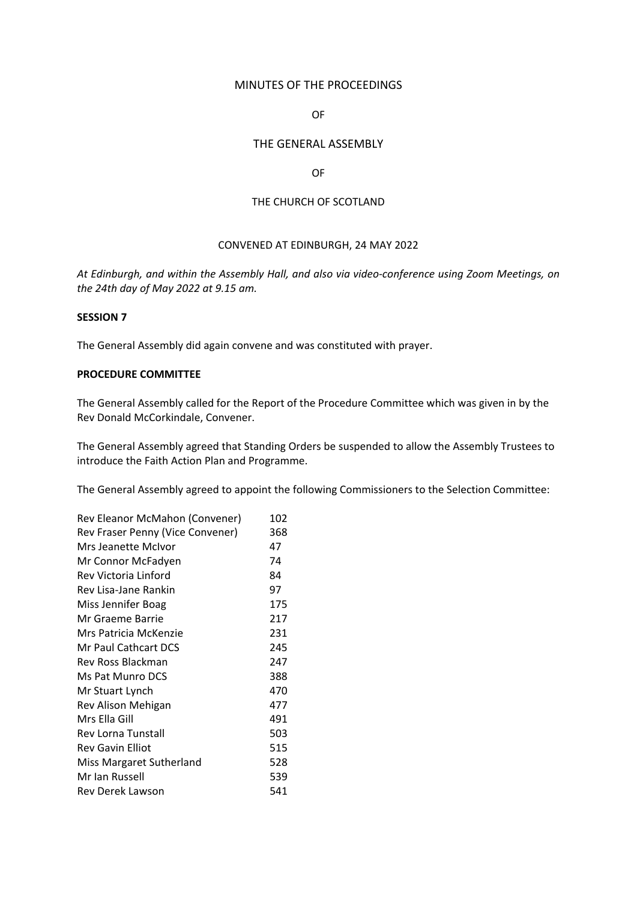### MINUTES OF THE PROCEEDINGS

# OF

# THE GENERAL ASSEMBLY

#### OF

### THE CHURCH OF SCOTLAND

#### CONVENED AT EDINBURGH, 24 MAY 2022

*At Edinburgh, and within the Assembly Hall, and also via video-conference using Zoom Meetings, on the 24th day of May 2022 at 9.15 am.*

### **SESSION 7**

The General Assembly did again convene and was constituted with prayer.

# **PROCEDURE COMMITTEE**

The General Assembly called for the Report of the Procedure Committee which was given in by the Rev Donald McCorkindale, Convener.

The General Assembly agreed that Standing Orders be suspended to allow the Assembly Trustees to introduce the Faith Action Plan and Programme.

The General Assembly agreed to appoint the following Commissioners to the Selection Committee:

| Rev Eleanor McMahon (Convener)   |     |  |
|----------------------------------|-----|--|
| Rev Fraser Penny (Vice Convener) | 368 |  |
| Mrs Jeanette McIvor              | 47  |  |
| Mr Connor McFadyen               | 74  |  |
| Rev Victoria Linford             | 84  |  |
| Rev Lisa-Jane Rankin             | 97  |  |
| Miss Jennifer Boag               | 175 |  |
| Mr Graeme Barrie                 | 217 |  |
| Mrs Patricia McKenzie            | 231 |  |
| Mr Paul Cathcart DCS             | 245 |  |
| Rev Ross Blackman                | 247 |  |
| Ms Pat Munro DCS                 | 388 |  |
| Mr Stuart Lynch                  | 470 |  |
| Rev Alison Mehigan               | 477 |  |
| Mrs Ella Gill                    | 491 |  |
| Rev Lorna Tunstall               | 503 |  |
| <b>Rev Gavin Elliot</b>          | 515 |  |
| Miss Margaret Sutherland         | 528 |  |
| Mr Ian Russell                   | 539 |  |
| Rev Derek Lawson                 | 541 |  |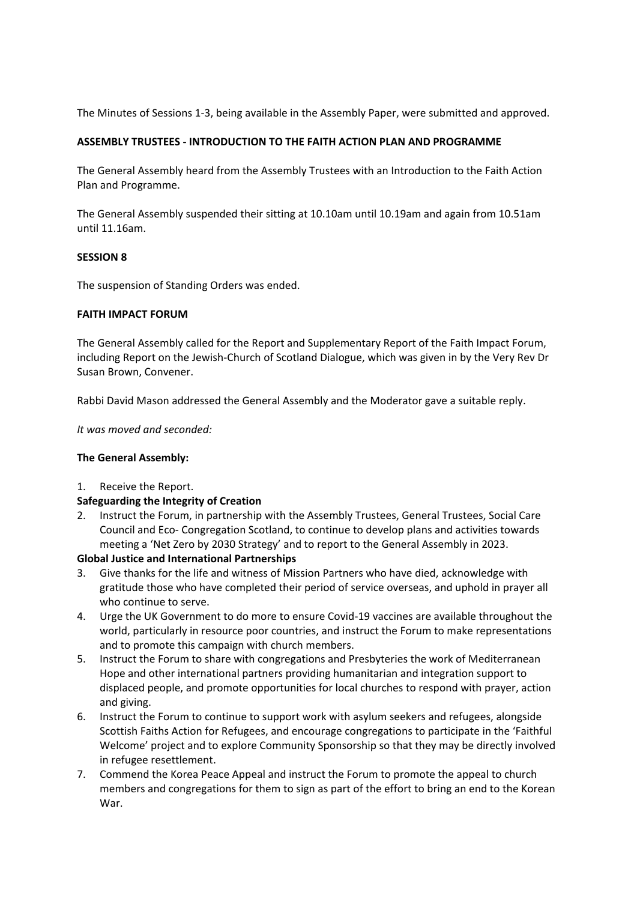The Minutes of Sessions 1-3, being available in the Assembly Paper, were submitted and approved.

# **ASSEMBLY TRUSTEES - INTRODUCTION TO THE FAITH ACTION PLAN AND PROGRAMME**

The General Assembly heard from the Assembly Trustees with an Introduction to the Faith Action Plan and Programme.

The General Assembly suspended their sitting at 10.10am until 10.19am and again from 10.51am until 11.16am.

# **SESSION 8**

The suspension of Standing Orders was ended.

# **FAITH IMPACT FORUM**

The General Assembly called for the Report and Supplementary Report of the Faith Impact Forum, including Report on the Jewish-Church of Scotland Dialogue, which was given in by the Very Rev Dr Susan Brown, Convener.

Rabbi David Mason addressed the General Assembly and the Moderator gave a suitable reply.

*It was moved and seconded:*

# **The General Assembly:**

1. Receive the Report.

# **Safeguarding the Integrity of Creation**

2. Instruct the Forum, in partnership with the Assembly Trustees, General Trustees, Social Care Council and Eco- Congregation Scotland, to continue to develop plans and activities towards meeting a 'Net Zero by 2030 Strategy' and to report to the General Assembly in 2023.

# **Global Justice and International Partnerships**

- 3. Give thanks for the life and witness of Mission Partners who have died, acknowledge with gratitude those who have completed their period of service overseas, and uphold in prayer all who continue to serve.
- 4. Urge the UK Government to do more to ensure Covid-19 vaccines are available throughout the world, particularly in resource poor countries, and instruct the Forum to make representations and to promote this campaign with church members.
- 5. Instruct the Forum to share with congregations and Presbyteries the work of Mediterranean Hope and other international partners providing humanitarian and integration support to displaced people, and promote opportunities for local churches to respond with prayer, action and giving.
- 6. Instruct the Forum to continue to support work with asylum seekers and refugees, alongside Scottish Faiths Action for Refugees, and encourage congregations to participate in the 'Faithful Welcome' project and to explore Community Sponsorship so that they may be directly involved in refugee resettlement.
- 7. Commend the Korea Peace Appeal and instruct the Forum to promote the appeal to church members and congregations for them to sign as part of the effort to bring an end to the Korean War.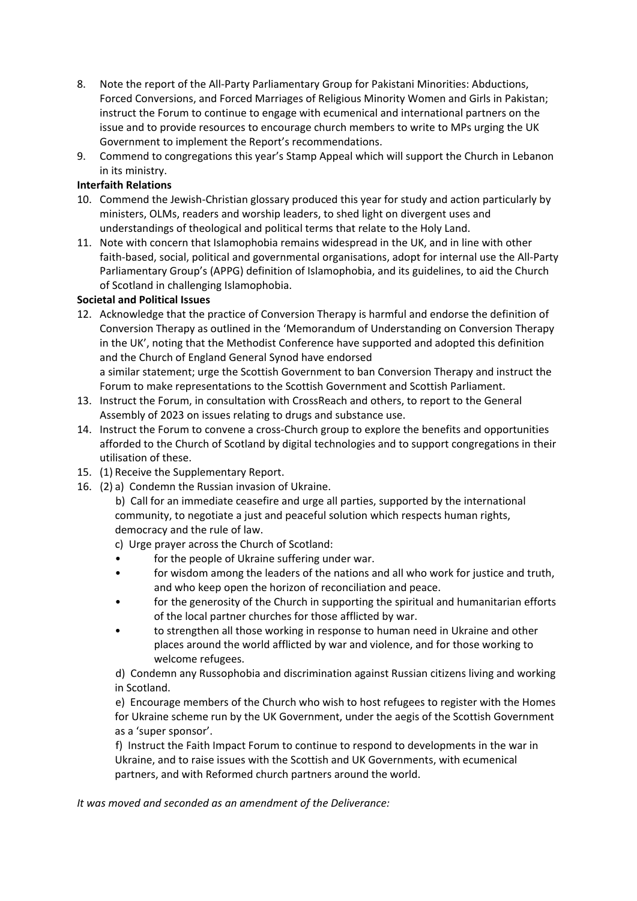- 8. Note the report of the All-Party Parliamentary Group for Pakistani Minorities: Abductions, Forced Conversions, and Forced Marriages of Religious Minority Women and Girls in Pakistan; instruct the Forum to continue to engage with ecumenical and international partners on the issue and to provide resources to encourage church members to write to MPs urging the UK Government to implement the Report's recommendations.
- 9. Commend to congregations this year's Stamp Appeal which will support the Church in Lebanon in its ministry.

# **Interfaith Relations**

- 10. Commend the Jewish-Christian glossary produced this year for study and action particularly by ministers, OLMs, readers and worship leaders, to shed light on divergent uses and understandings of theological and political terms that relate to the Holy Land.
- 11. Note with concern that Islamophobia remains widespread in the UK, and in line with other faith-based, social, political and governmental organisations, adopt for internal use the All-Party Parliamentary Group's (APPG) definition of Islamophobia, and its guidelines, to aid the Church of Scotland in challenging Islamophobia.

# **Societal and Political Issues**

- 12. Acknowledge that the practice of Conversion Therapy is harmful and endorse the definition of Conversion Therapy as outlined in the 'Memorandum of Understanding on Conversion Therapy in the UK', noting that the Methodist Conference have supported and adopted this definition and the Church of England General Synod have endorsed a similar statement; urge the Scottish Government to ban Conversion Therapy and instruct the Forum to make representations to the Scottish Government and Scottish Parliament.
- 13. Instruct the Forum, in consultation with CrossReach and others, to report to the General Assembly of 2023 on issues relating to drugs and substance use.
- 14. Instruct the Forum to convene a cross-Church group to explore the benefits and opportunities afforded to the Church of Scotland by digital technologies and to support congregations in their utilisation of these.
- 15. (1) Receive the Supplementary Report.
- 16. (2) a) Condemn the Russian invasion of Ukraine.
	- b) Call for an immediate ceasefire and urge all parties, supported by the international community, to negotiate a just and peaceful solution which respects human rights, democracy and the rule of law.

c) Urge prayer across the Church of Scotland:

- for the people of Ukraine suffering under war.
- for wisdom among the leaders of the nations and all who work for justice and truth, and who keep open the horizon of reconciliation and peace.
- for the generosity of the Church in supporting the spiritual and humanitarian efforts of the local partner churches for those afflicted by war.
- to strengthen all those working in response to human need in Ukraine and other places around the world afflicted by war and violence, and for those working to welcome refugees.

d) Condemn any Russophobia and discrimination against Russian citizens living and working in Scotland.

e) Encourage members of the Church who wish to host refugees to register with the Homes for Ukraine scheme run by the UK Government, under the aegis of the Scottish Government as a 'super sponsor'.

f) Instruct the Faith Impact Forum to continue to respond to developments in the war in Ukraine, and to raise issues with the Scottish and UK Governments, with ecumenical partners, and with Reformed church partners around the world.

*It was moved and seconded as an amendment of the Deliverance:*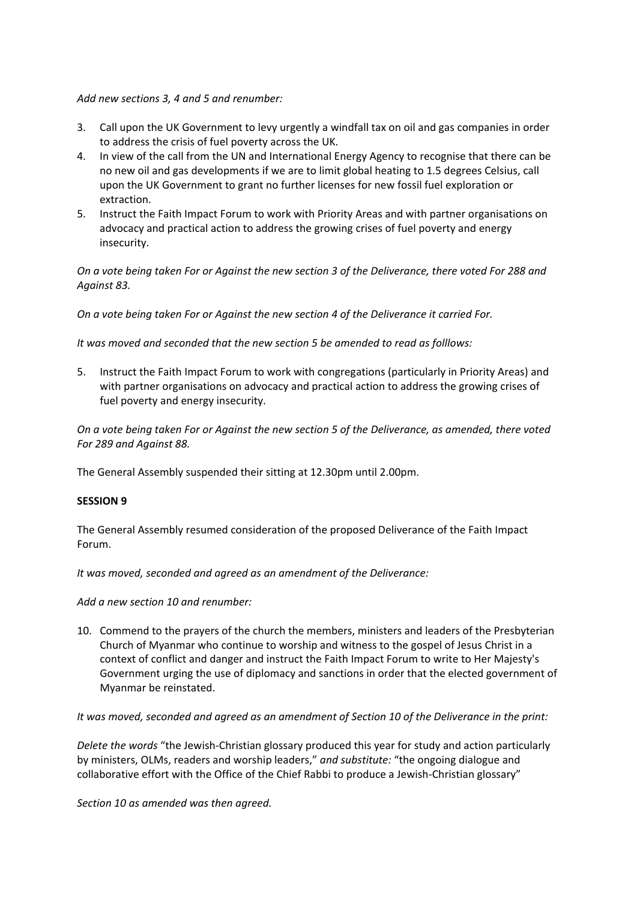### *Add new sections 3, 4 and 5 and renumber:*

- 3. Call upon the UK Government to levy urgently a windfall tax on oil and gas companies in order to address the crisis of fuel poverty across the UK.
- 4. In view of the call from the UN and International Energy Agency to recognise that there can be no new oil and gas developments if we are to limit global heating to 1.5 degrees Celsius, call upon the UK Government to grant no further licenses for new fossil fuel exploration or extraction.
- 5. Instruct the Faith Impact Forum to work with Priority Areas and with partner organisations on advocacy and practical action to address the growing crises of fuel poverty and energy insecurity.

*On a vote being taken For or Against the new section 3 of the Deliverance, there voted For 288 and Against 83.*

*On a vote being taken For or Against the new section 4 of the Deliverance it carried For.*

*It was moved and seconded that the new section 5 be amended to read as folllows:*

5. Instruct the Faith Impact Forum to work with congregations (particularly in Priority Areas) and with partner organisations on advocacy and practical action to address the growing crises of fuel poverty and energy insecurity.

*On a vote being taken For or Against the new section 5 of the Deliverance, as amended, there voted For 289 and Against 88.*

The General Assembly suspended their sitting at 12.30pm until 2.00pm.

#### **SESSION 9**

The General Assembly resumed consideration of the proposed Deliverance of the Faith Impact Forum.

*It was moved, seconded and agreed as an amendment of the Deliverance:*

*Add a new section 10 and renumber:*

10. Commend to the prayers of the church the members, ministers and leaders of the Presbyterian Church of Myanmar who continue to worship and witness to the gospel of Jesus Christ in a context of conflict and danger and instruct the Faith Impact Forum to write to Her Majesty's Government urging the use of diplomacy and sanctions in order that the elected government of Myanmar be reinstated.

*It was moved, seconded and agreed as an amendment of Section 10 of the Deliverance in the print:*

*Delete the words* "the Jewish-Christian glossary produced this year for study and action particularly by ministers, OLMs, readers and worship leaders," *and substitute:* "the ongoing dialogue and collaborative effort with the Office of the Chief Rabbi to produce a Jewish-Christian glossary"

*Section 10 as amended was then agreed.*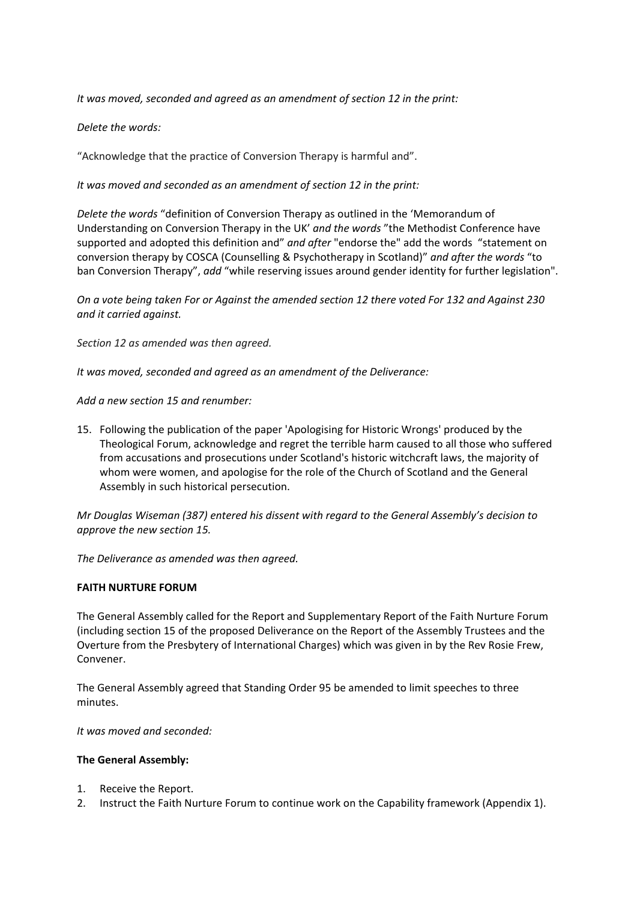*It was moved, seconded and agreed as an amendment of section 12 in the print:*

# *Delete the words:*

"Acknowledge that the practice of Conversion Therapy is harmful and".

*It was moved and seconded as an amendment of section 12 in the print:*

*Delete the words* "definition of Conversion Therapy as outlined in the 'Memorandum of Understanding on Conversion Therapy in the UK' *and the words* "the Methodist Conference have supported and adopted this definition and" *and after* "endorse the" add the words "statement on conversion therapy by COSCA (Counselling & Psychotherapy in Scotland)" *and after the words* "to ban Conversion Therapy", *add* "while reserving issues around gender identity for further legislation".

*On a vote being taken For or Against the amended section 12 there voted For 132 and Against 230 and it carried against.*

*Section 12 as amended was then agreed.*

*It was moved, seconded and agreed as an amendment of the Deliverance:*

*Add a new section 15 and renumber:*

15. Following the publication of the paper 'Apologising for Historic Wrongs' produced by the Theological Forum, acknowledge and regret the terrible harm caused to all those who suffered from accusations and prosecutions under Scotland's historic witchcraft laws, the majority of whom were women, and apologise for the role of the Church of Scotland and the General Assembly in such historical persecution.

*Mr Douglas Wiseman (387) entered his dissent with regard to the General Assembly's decision to approve the new section 15.*

*The Deliverance as amended was then agreed.*

# **FAITH NURTURE FORUM**

The General Assembly called for the Report and Supplementary Report of the Faith Nurture Forum (including section 15 of the proposed Deliverance on the Report of the Assembly Trustees and the Overture from the Presbytery of International Charges) which was given in by the Rev Rosie Frew, Convener.

The General Assembly agreed that Standing Order 95 be amended to limit speeches to three minutes.

*It was moved and seconded:*

- 1. Receive the Report.
- 2. Instruct the Faith Nurture Forum to continue work on the Capability framework (Appendix 1).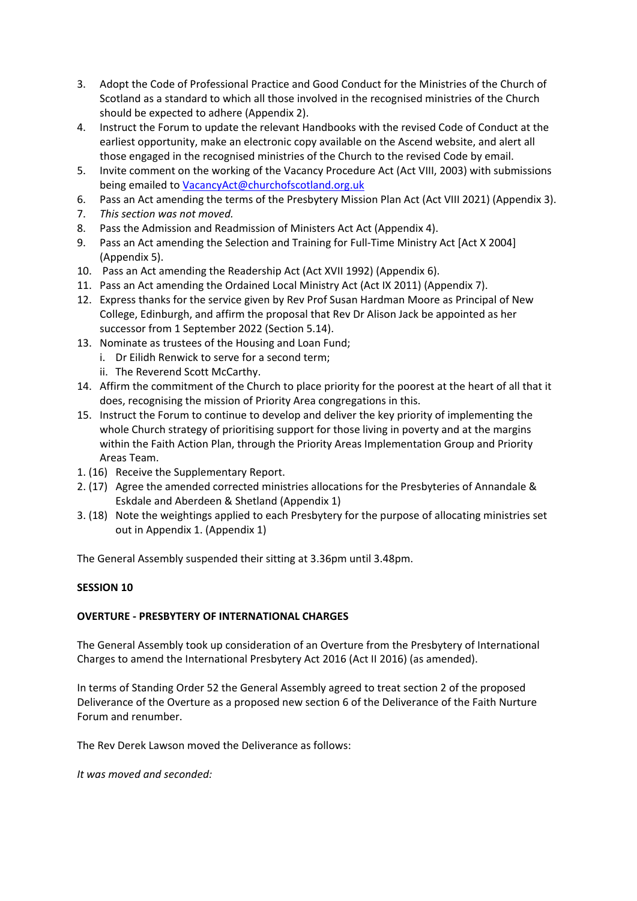- 3. Adopt the Code of Professional Practice and Good Conduct for the Ministries of the Church of Scotland as a standard to which all those involved in the recognised ministries of the Church should be expected to adhere (Appendix 2).
- 4. Instruct the Forum to update the relevant Handbooks with the revised Code of Conduct at the earliest opportunity, make an electronic copy available on the Ascend website, and alert all those engaged in the recognised ministries of the Church to the revised Code by email.
- 5. Invite comment on the working of the Vacancy Procedure Act (Act VIII, 2003) with submissions being emailed to [VacancyAct@churchofscotland.org.uk](mailto:VacancyAct@churchofscotland.org.uk)
- 6. Pass an Act amending the terms of the Presbytery Mission Plan Act (Act VIII 2021) (Appendix 3).
- 7. *This section was not moved.*
- 8. Pass the Admission and Readmission of Ministers Act Act (Appendix 4).
- 9. Pass an Act amending the Selection and Training for Full-Time Ministry Act [Act X 2004] (Appendix 5).
- 10. Pass an Act amending the Readership Act (Act XVII 1992) (Appendix 6).
- 11. Pass an Act amending the Ordained Local Ministry Act (Act IX 2011) (Appendix 7).
- 12. Express thanks for the service given by Rev Prof Susan Hardman Moore as Principal of New College, Edinburgh, and affirm the proposal that Rev Dr Alison Jack be appointed as her successor from 1 September 2022 (Section 5.14).
- 13. Nominate as trustees of the Housing and Loan Fund;
	- i. Dr Eilidh Renwick to serve for a second term;
	- ii. The Reverend Scott McCarthy.
- 14. Affirm the commitment of the Church to place priority for the poorest at the heart of all that it does, recognising the mission of Priority Area congregations in this.
- 15. Instruct the Forum to continue to develop and deliver the key priority of implementing the whole Church strategy of prioritising support for those living in poverty and at the margins within the Faith Action Plan, through the Priority Areas Implementation Group and Priority Areas Team.
- 1. (16) Receive the Supplementary Report.
- 2. (17) Agree the amended corrected ministries allocations for the Presbyteries of Annandale & Eskdale and Aberdeen & Shetland (Appendix 1)
- 3. (18) Note the weightings applied to each Presbytery for the purpose of allocating ministries set out in Appendix 1. (Appendix 1)

The General Assembly suspended their sitting at 3.36pm until 3.48pm.

# **SESSION 10**

# **OVERTURE - PRESBYTERY OF INTERNATIONAL CHARGES**

The General Assembly took up consideration of an Overture from the Presbytery of International Charges to amend the International Presbytery Act 2016 (Act II 2016) (as amended).

In terms of Standing Order 52 the General Assembly agreed to treat section 2 of the proposed Deliverance of the Overture as a proposed new section 6 of the Deliverance of the Faith Nurture Forum and renumber.

The Rev Derek Lawson moved the Deliverance as follows:

*It was moved and seconded:*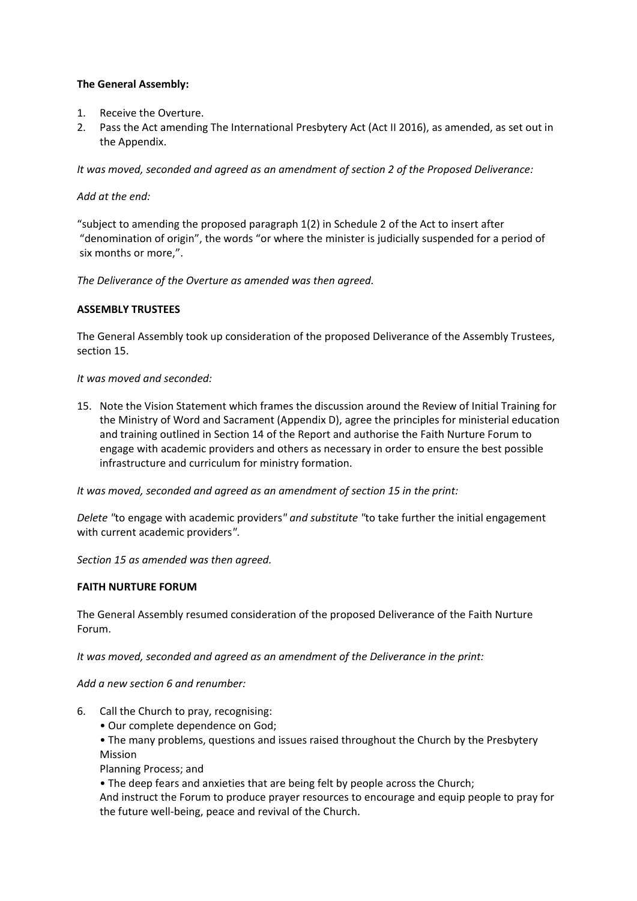# **The General Assembly:**

- 1. Receive the Overture.
- 2. Pass the Act amending The International Presbytery Act (Act II 2016), as amended, as set out in the Appendix.

*It was moved, seconded and agreed as an amendment of section 2 of the Proposed Deliverance:*

# *Add at the end:*

"subject to amending the proposed paragraph 1(2) in Schedule 2 of the Act to insert after "denomination of origin", the words "or where the minister is judicially suspended for a period of six months or more,".

*The Deliverance of the Overture as amended was then agreed.*

# **ASSEMBLY TRUSTEES**

The General Assembly took up consideration of the proposed Deliverance of the Assembly Trustees, section 15.

# *It was moved and seconded:*

15. Note the Vision Statement which frames the discussion around the Review of Initial Training for the Ministry of Word and Sacrament (Appendix D), agree the principles for ministerial education and training outlined in Section 14 of the Report and authorise the Faith Nurture Forum to engage with academic providers and others as necessary in order to ensure the best possible infrastructure and curriculum for ministry formation.

*It was moved, seconded and agreed as an amendment of section 15 in the print:*

*Delete "*to engage with academic providers*" and substitute "*to take further the initial engagement with current academic providers*"*.

*Section 15 as amended was then agreed.*

# **FAITH NURTURE FORUM**

The General Assembly resumed consideration of the proposed Deliverance of the Faith Nurture Forum.

*It was moved, seconded and agreed as an amendment of the Deliverance in the print:*

*Add a new section 6 and renumber:*

- 6. Call the Church to pray, recognising:
	- Our complete dependence on God;
	- The many problems, questions and issues raised throughout the Church by the Presbytery Mission

Planning Process; and

• The deep fears and anxieties that are being felt by people across the Church;

And instruct the Forum to produce prayer resources to encourage and equip people to pray for the future well-being, peace and revival of the Church.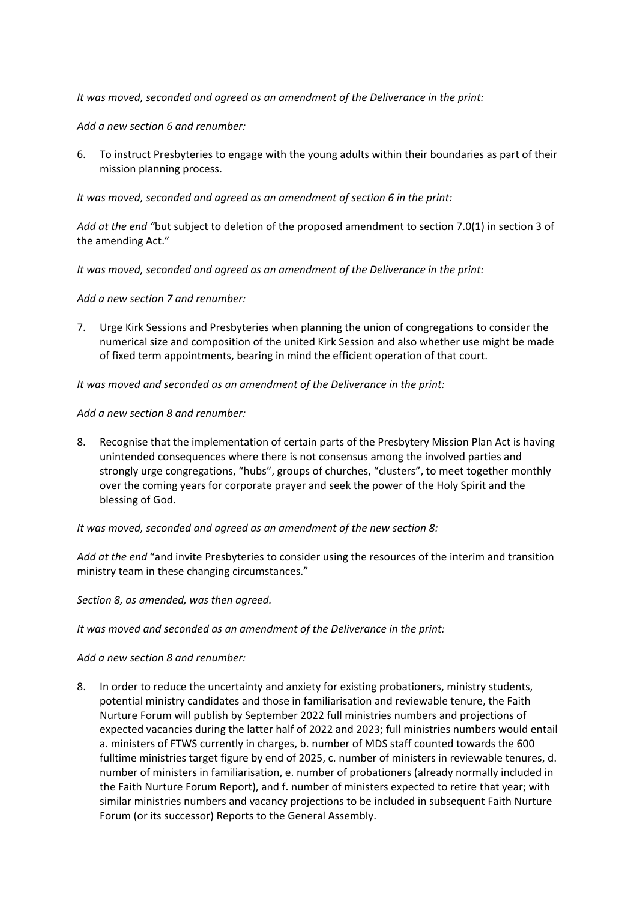*It was moved, seconded and agreed as an amendment of the Deliverance in the print:*

*Add a new section 6 and renumber:*

6. To instruct Presbyteries to engage with the young adults within their boundaries as part of their mission planning process.

*It was moved, seconded and agreed as an amendment of section 6 in the print:*

*Add at the end "*but subject to deletion of the proposed amendment to section 7.0(1) in section 3 of the amending Act."

*It was moved, seconded and agreed as an amendment of the Deliverance in the print:*

*Add a new section 7 and renumber:*

7. Urge Kirk Sessions and Presbyteries when planning the union of congregations to consider the numerical size and composition of the united Kirk Session and also whether use might be made of fixed term appointments, bearing in mind the efficient operation of that court.

*It was moved and seconded as an amendment of the Deliverance in the print:*

*Add a new section 8 and renumber:*

8. Recognise that the implementation of certain parts of the Presbytery Mission Plan Act is having unintended consequences where there is not consensus among the involved parties and strongly urge congregations, "hubs", groups of churches, "clusters", to meet together monthly over the coming years for corporate prayer and seek the power of the Holy Spirit and the blessing of God.

# *It was moved, seconded and agreed as an amendment of the new section 8:*

*Add at the end* "and invite Presbyteries to consider using the resources of the interim and transition ministry team in these changing circumstances."

*Section 8, as amended, was then agreed.* 

*It was moved and seconded as an amendment of the Deliverance in the print:*

*Add a new section 8 and renumber:*

8. In order to reduce the uncertainty and anxiety for existing probationers, ministry students, potential ministry candidates and those in familiarisation and reviewable tenure, the Faith Nurture Forum will publish by September 2022 full ministries numbers and projections of expected vacancies during the latter half of 2022 and 2023; full ministries numbers would entail a. ministers of FTWS currently in charges, b. number of MDS staff counted towards the 600 fulltime ministries target figure by end of 2025, c. number of ministers in reviewable tenures, d. number of ministers in familiarisation, e. number of probationers (already normally included in the Faith Nurture Forum Report), and f. number of ministers expected to retire that year; with similar ministries numbers and vacancy projections to be included in subsequent Faith Nurture Forum (or its successor) Reports to the General Assembly.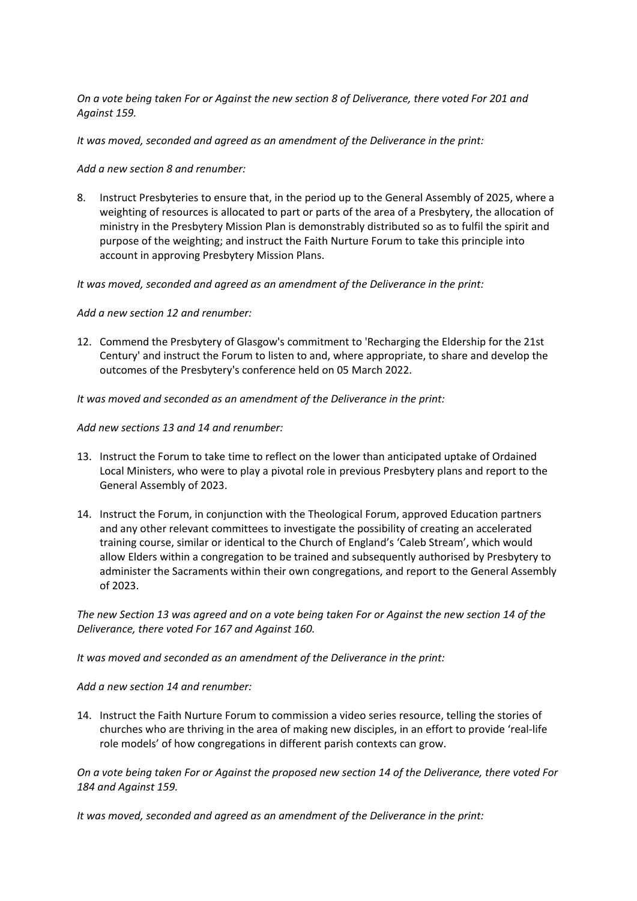*On a vote being taken For or Against the new section 8 of Deliverance, there voted For 201 and Against 159.*

*It was moved, seconded and agreed as an amendment of the Deliverance in the print:*

*Add a new section 8 and renumber:*

8. Instruct Presbyteries to ensure that, in the period up to the General Assembly of 2025, where a weighting of resources is allocated to part or parts of the area of a Presbytery, the allocation of ministry in the Presbytery Mission Plan is demonstrably distributed so as to fulfil the spirit and purpose of the weighting; and instruct the Faith Nurture Forum to take this principle into account in approving Presbytery Mission Plans.

*It was moved, seconded and agreed as an amendment of the Deliverance in the print:*

*Add a new section 12 and renumber:*

12. Commend the Presbytery of Glasgow's commitment to 'Recharging the Eldership for the 21st Century' and instruct the Forum to listen to and, where appropriate, to share and develop the outcomes of the Presbytery's conference held on 05 March 2022.

*It was moved and seconded as an amendment of the Deliverance in the print:*

*Add new sections 13 and 14 and renumber:*

- 13. Instruct the Forum to take time to reflect on the lower than anticipated uptake of Ordained Local Ministers, who were to play a pivotal role in previous Presbytery plans and report to the General Assembly of 2023.
- 14. Instruct the Forum, in conjunction with the Theological Forum, approved Education partners and any other relevant committees to investigate the possibility of creating an accelerated training course, similar or identical to the Church of England's 'Caleb Stream', which would allow Elders within a congregation to be trained and subsequently authorised by Presbytery to administer the Sacraments within their own congregations, and report to the General Assembly of 2023.

*The new Section 13 was agreed and on a vote being taken For or Against the new section 14 of the Deliverance, there voted For 167 and Against 160.*

*It was moved and seconded as an amendment of the Deliverance in the print:*

*Add a new section 14 and renumber:*

14. Instruct the Faith Nurture Forum to commission a video series resource, telling the stories of churches who are thriving in the area of making new disciples, in an effort to provide 'real-life role models' of how congregations in different parish contexts can grow.

*On a vote being taken For or Against the proposed new section 14 of the Deliverance, there voted For 184 and Against 159.*

*It was moved, seconded and agreed as an amendment of the Deliverance in the print:*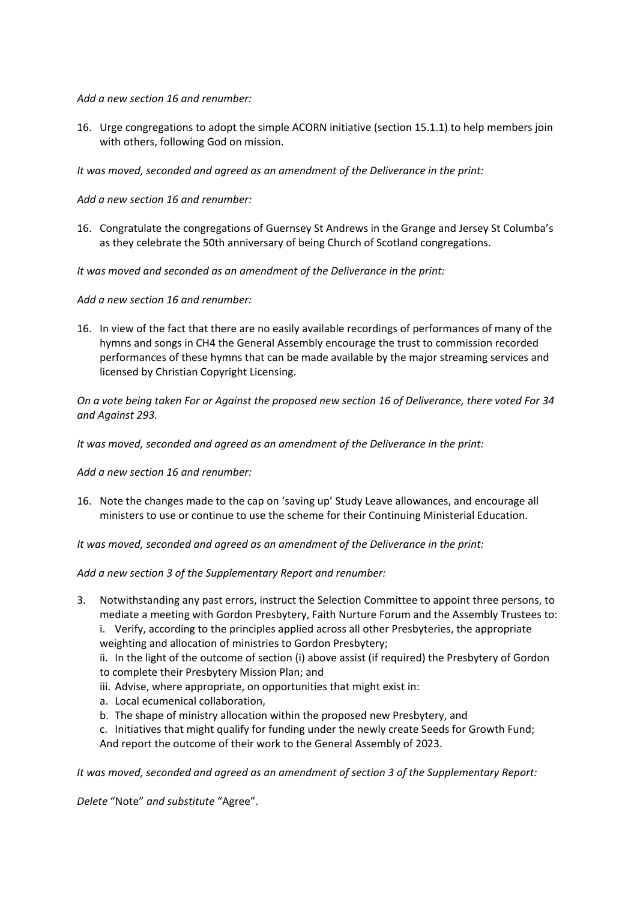*Add a new section 16 and renumber:*

16. Urge congregations to adopt the simple ACORN initiative (section 15.1.1) to help members join with others, following God on mission.

*It was moved, seconded and agreed as an amendment of the Deliverance in the print:*

*Add a new section 16 and renumber:*

16. Congratulate the congregations of Guernsey St Andrews in the Grange and Jersey St Columba's as they celebrate the 50th anniversary of being Church of Scotland congregations.

*It was moved and seconded as an amendment of the Deliverance in the print:*

*Add a new section 16 and renumber:*

16. In view of the fact that there are no easily available recordings of performances of many of the hymns and songs in CH4 the General Assembly encourage the trust to commission recorded performances of these hymns that can be made available by the major streaming services and licensed by Christian Copyright Licensing.

*On a vote being taken For or Against the proposed new section 16 of Deliverance, there voted For 34 and Against 293.*

*It was moved, seconded and agreed as an amendment of the Deliverance in the print:*

*Add a new section 16 and renumber:*

16. Note the changes made to the cap on 'saving up' Study Leave allowances, and encourage all ministers to use or continue to use the scheme for their Continuing Ministerial Education.

*It was moved, seconded and agreed as an amendment of the Deliverance in the print:*

*Add a new section 3 of the Supplementary Report and renumber:*

- 3. Notwithstanding any past errors, instruct the Selection Committee to appoint three persons, to mediate a meeting with Gordon Presbytery, Faith Nurture Forum and the Assembly Trustees to:
	- i. Verify, according to the principles applied across all other Presbyteries, the appropriate weighting and allocation of ministries to Gordon Presbytery;
	- ii. In the light of the outcome of section (i) above assist (if required) the Presbytery of Gordon to complete their Presbytery Mission Plan; and
	- iii. Advise, where appropriate, on opportunities that might exist in:
	- a. Local ecumenical collaboration,
	- b. The shape of ministry allocation within the proposed new Presbytery, and
	- c. Initiatives that might qualify for funding under the newly create Seeds for Growth Fund; And report the outcome of their work to the General Assembly of 2023.

*It was moved, seconded and agreed as an amendment of section 3 of the Supplementary Report:*

*Delete* "Note" *and substitute* "Agree".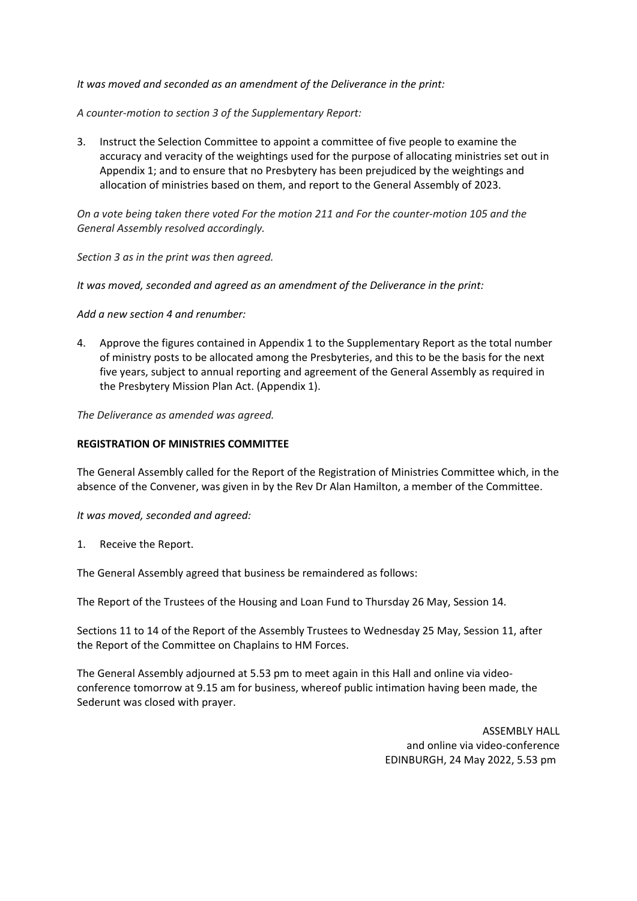*It was moved and seconded as an amendment of the Deliverance in the print:*

*A counter-motion to section 3 of the Supplementary Report:*

3. Instruct the Selection Committee to appoint a committee of five people to examine the accuracy and veracity of the weightings used for the purpose of allocating ministries set out in Appendix 1; and to ensure that no Presbytery has been prejudiced by the weightings and allocation of ministries based on them, and report to the General Assembly of 2023.

*On a vote being taken there voted For the motion 211 and For the counter-motion 105 and the General Assembly resolved accordingly.*

*Section 3 as in the print was then agreed.*

*It was moved, seconded and agreed as an amendment of the Deliverance in the print:*

*Add a new section 4 and renumber:*

4. Approve the figures contained in Appendix 1 to the Supplementary Report as the total number of ministry posts to be allocated among the Presbyteries, and this to be the basis for the next five years, subject to annual reporting and agreement of the General Assembly as required in the Presbytery Mission Plan Act. (Appendix 1).

*The Deliverance as amended was agreed.*

# **REGISTRATION OF MINISTRIES COMMITTEE**

The General Assembly called for the Report of the Registration of Ministries Committee which, in the absence of the Convener, was given in by the Rev Dr Alan Hamilton, a member of the Committee.

*It was moved, seconded and agreed:*

1. Receive the Report.

The General Assembly agreed that business be remaindered as follows:

The Report of the Trustees of the Housing and Loan Fund to Thursday 26 May, Session 14.

Sections 11 to 14 of the Report of the Assembly Trustees to Wednesday 25 May, Session 11, after the Report of the Committee on Chaplains to HM Forces.

The General Assembly adjourned at 5.53 pm to meet again in this Hall and online via videoconference tomorrow at 9.15 am for business, whereof public intimation having been made, the Sederunt was closed with prayer.

> ASSEMBLY HALL and online via video-conference EDINBURGH, 24 May 2022, 5.53 pm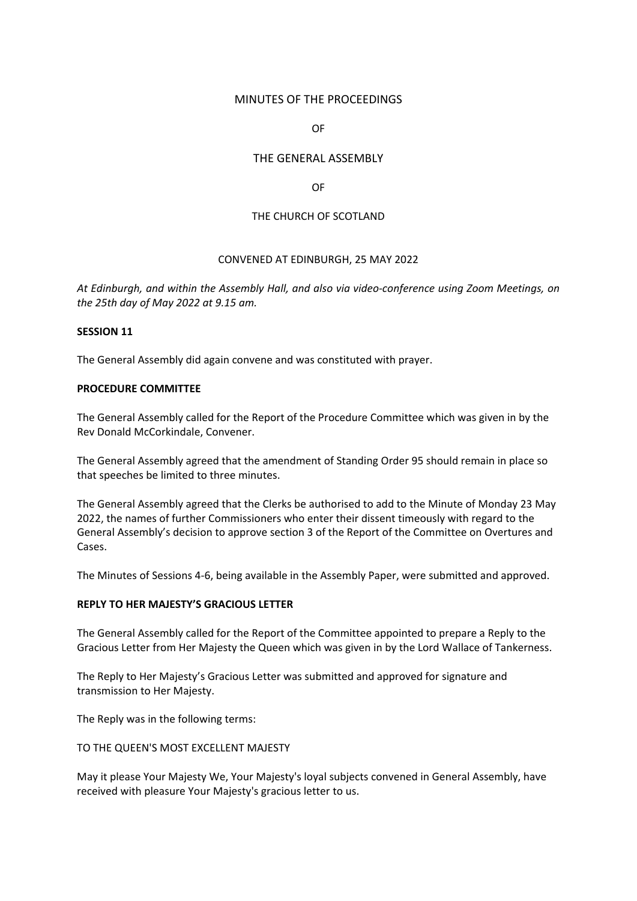# MINUTES OF THE PROCEEDINGS

OF

# THE GENERAL ASSEMBLY

OF

### THE CHURCH OF SCOTLAND

### CONVENED AT EDINBURGH, 25 MAY 2022

*At Edinburgh, and within the Assembly Hall, and also via video-conference using Zoom Meetings, on the 25th day of May 2022 at 9.15 am.*

#### **SESSION 11**

The General Assembly did again convene and was constituted with prayer.

### **PROCEDURE COMMITTEE**

The General Assembly called for the Report of the Procedure Committee which was given in by the Rev Donald McCorkindale, Convener.

The General Assembly agreed that the amendment of Standing Order 95 should remain in place so that speeches be limited to three minutes.

The General Assembly agreed that the Clerks be authorised to add to the Minute of Monday 23 May 2022, the names of further Commissioners who enter their dissent timeously with regard to the General Assembly's decision to approve section 3 of the Report of the Committee on Overtures and Cases.

The Minutes of Sessions 4-6, being available in the Assembly Paper, were submitted and approved.

# **REPLY TO HER MAJESTY'S GRACIOUS LETTER**

The General Assembly called for the Report of the Committee appointed to prepare a Reply to the Gracious Letter from Her Majesty the Queen which was given in by the Lord Wallace of Tankerness.

The Reply to Her Majesty's Gracious Letter was submitted and approved for signature and transmission to Her Majesty.

The Reply was in the following terms:

#### TO THE QUEEN'S MOST EXCELLENT MAJESTY

May it please Your Majesty We, Your Majesty's loyal subjects convened in General Assembly, have received with pleasure Your Majesty's gracious letter to us.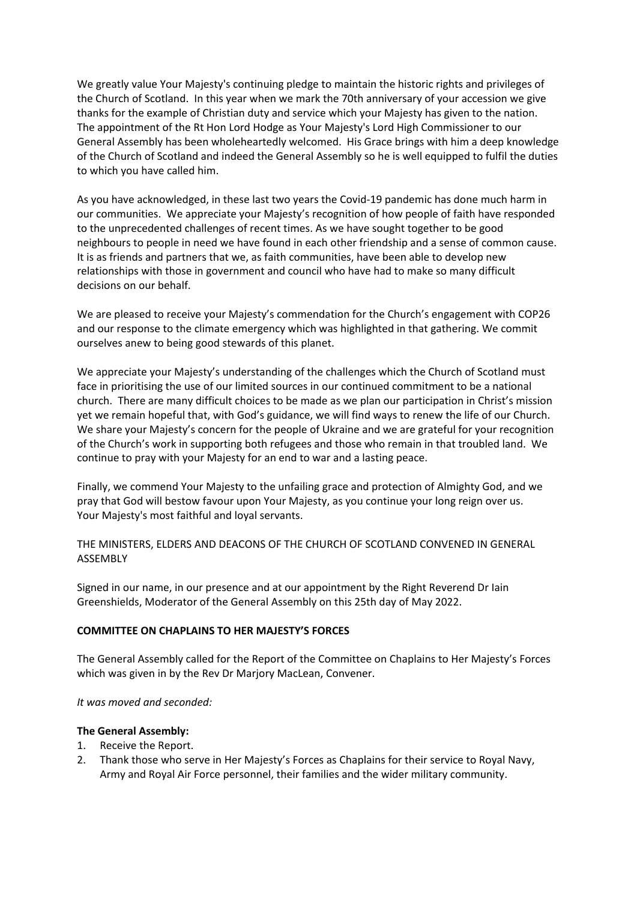We greatly value Your Majesty's continuing pledge to maintain the historic rights and privileges of the Church of Scotland. In this year when we mark the 70th anniversary of your accession we give thanks for the example of Christian duty and service which your Majesty has given to the nation. The appointment of the Rt Hon Lord Hodge as Your Majesty's Lord High Commissioner to our General Assembly has been wholeheartedly welcomed. His Grace brings with him a deep knowledge of the Church of Scotland and indeed the General Assembly so he is well equipped to fulfil the duties to which you have called him.

As you have acknowledged, in these last two years the Covid-19 pandemic has done much harm in our communities. We appreciate your Majesty's recognition of how people of faith have responded to the unprecedented challenges of recent times. As we have sought together to be good neighbours to people in need we have found in each other friendship and a sense of common cause. It is as friends and partners that we, as faith communities, have been able to develop new relationships with those in government and council who have had to make so many difficult decisions on our behalf.

We are pleased to receive your Majesty's commendation for the Church's engagement with COP26 and our response to the climate emergency which was highlighted in that gathering. We commit ourselves anew to being good stewards of this planet.

We appreciate your Majesty's understanding of the challenges which the Church of Scotland must face in prioritising the use of our limited sources in our continued commitment to be a national church. There are many difficult choices to be made as we plan our participation in Christ's mission yet we remain hopeful that, with God's guidance, we will find ways to renew the life of our Church. We share your Majesty's concern for the people of Ukraine and we are grateful for your recognition of the Church's work in supporting both refugees and those who remain in that troubled land. We continue to pray with your Majesty for an end to war and a lasting peace.

Finally, we commend Your Majesty to the unfailing grace and protection of Almighty God, and we pray that God will bestow favour upon Your Majesty, as you continue your long reign over us. Your Majesty's most faithful and loyal servants.

THE MINISTERS, ELDERS AND DEACONS OF THE CHURCH OF SCOTLAND CONVENED IN GENERAL ASSEMBLY

Signed in our name, in our presence and at our appointment by the Right Reverend Dr Iain Greenshields, Moderator of the General Assembly on this 25th day of May 2022.

# **COMMITTEE ON CHAPLAINS TO HER MAJESTY'S FORCES**

The General Assembly called for the Report of the Committee on Chaplains to Her Majesty's Forces which was given in by the Rev Dr Marjory MacLean, Convener.

# *It was moved and seconded:*

- 1. Receive the Report.
- 2. Thank those who serve in Her Majesty's Forces as Chaplains for their service to Royal Navy, Army and Royal Air Force personnel, their families and the wider military community.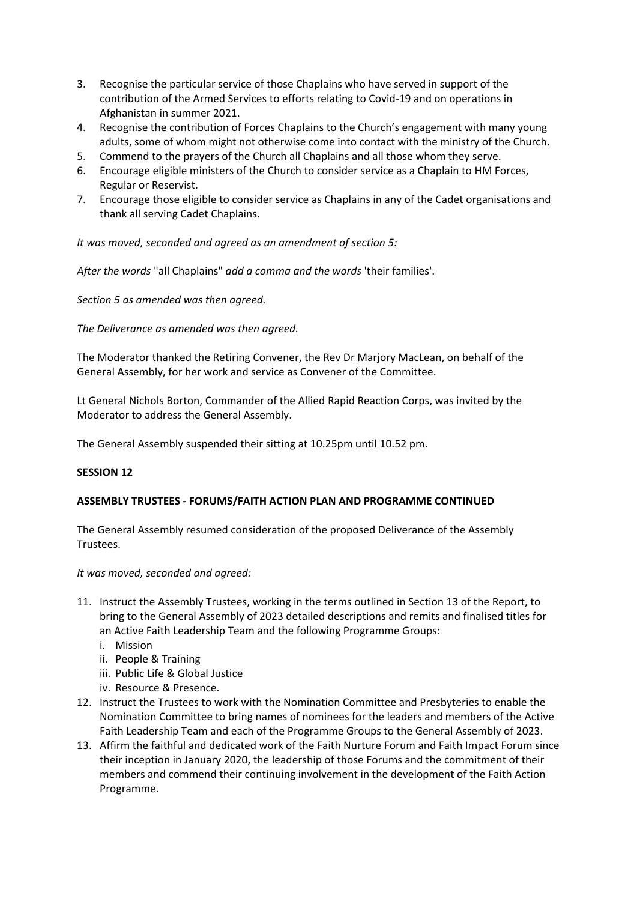- 3. Recognise the particular service of those Chaplains who have served in support of the contribution of the Armed Services to efforts relating to Covid-19 and on operations in Afghanistan in summer 2021.
- 4. Recognise the contribution of Forces Chaplains to the Church's engagement with many young adults, some of whom might not otherwise come into contact with the ministry of the Church.
- 5. Commend to the prayers of the Church all Chaplains and all those whom they serve.
- 6. Encourage eligible ministers of the Church to consider service as a Chaplain to HM Forces, Regular or Reservist.
- 7. Encourage those eligible to consider service as Chaplains in any of the Cadet organisations and thank all serving Cadet Chaplains.

*It was moved, seconded and agreed as an amendment of section 5:*

*After the words* "all Chaplains" *add a comma and the words* 'their families'.

*Section 5 as amended was then agreed.*

*The Deliverance as amended was then agreed.*

The Moderator thanked the Retiring Convener, the Rev Dr Marjory MacLean, on behalf of the General Assembly, for her work and service as Convener of the Committee.

Lt General Nichols Borton, Commander of the Allied Rapid Reaction Corps, was invited by the Moderator to address the General Assembly.

The General Assembly suspended their sitting at 10.25pm until 10.52 pm.

# **SESSION 12**

# **ASSEMBLY TRUSTEES - FORUMS/FAITH ACTION PLAN AND PROGRAMME CONTINUED**

The General Assembly resumed consideration of the proposed Deliverance of the Assembly Trustees.

*It was moved, seconded and agreed:*

- 11. Instruct the Assembly Trustees, working in the terms outlined in Section 13 of the Report, to bring to the General Assembly of 2023 detailed descriptions and remits and finalised titles for an Active Faith Leadership Team and the following Programme Groups:
	- i. Mission
	- ii. People & Training
	- iii. Public Life & Global Justice
	- iv. Resource & Presence.
- 12. Instruct the Trustees to work with the Nomination Committee and Presbyteries to enable the Nomination Committee to bring names of nominees for the leaders and members of the Active Faith Leadership Team and each of the Programme Groups to the General Assembly of 2023.
- 13. Affirm the faithful and dedicated work of the Faith Nurture Forum and Faith Impact Forum since their inception in January 2020, the leadership of those Forums and the commitment of their members and commend their continuing involvement in the development of the Faith Action Programme.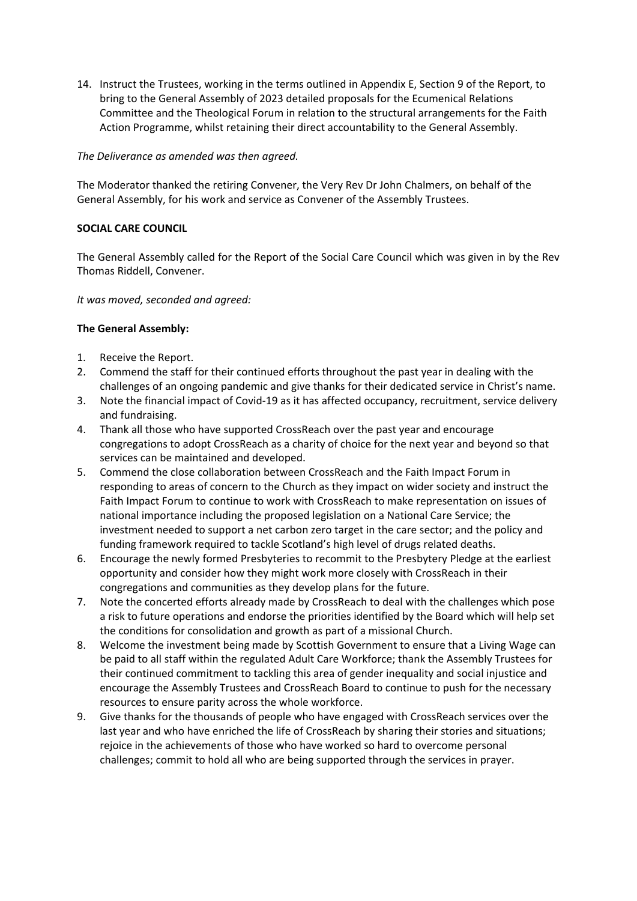14. Instruct the Trustees, working in the terms outlined in Appendix E, Section 9 of the Report, to bring to the General Assembly of 2023 detailed proposals for the Ecumenical Relations Committee and the Theological Forum in relation to the structural arrangements for the Faith Action Programme, whilst retaining their direct accountability to the General Assembly.

# *The Deliverance as amended was then agreed.*

The Moderator thanked the retiring Convener, the Very Rev Dr John Chalmers, on behalf of the General Assembly, for his work and service as Convener of the Assembly Trustees.

# **SOCIAL CARE COUNCIL**

The General Assembly called for the Report of the Social Care Council which was given in by the Rev Thomas Riddell, Convener.

*It was moved, seconded and agreed:*

- 1. Receive the Report.
- 2. Commend the staff for their continued efforts throughout the past year in dealing with the challenges of an ongoing pandemic and give thanks for their dedicated service in Christ's name.
- 3. Note the financial impact of Covid-19 as it has affected occupancy, recruitment, service delivery and fundraising.
- 4. Thank all those who have supported CrossReach over the past year and encourage congregations to adopt CrossReach as a charity of choice for the next year and beyond so that services can be maintained and developed.
- 5. Commend the close collaboration between CrossReach and the Faith Impact Forum in responding to areas of concern to the Church as they impact on wider society and instruct the Faith Impact Forum to continue to work with CrossReach to make representation on issues of national importance including the proposed legislation on a National Care Service; the investment needed to support a net carbon zero target in the care sector; and the policy and funding framework required to tackle Scotland's high level of drugs related deaths.
- 6. Encourage the newly formed Presbyteries to recommit to the Presbytery Pledge at the earliest opportunity and consider how they might work more closely with CrossReach in their congregations and communities as they develop plans for the future.
- 7. Note the concerted efforts already made by CrossReach to deal with the challenges which pose a risk to future operations and endorse the priorities identified by the Board which will help set the conditions for consolidation and growth as part of a missional Church.
- 8. Welcome the investment being made by Scottish Government to ensure that a Living Wage can be paid to all staff within the regulated Adult Care Workforce; thank the Assembly Trustees for their continued commitment to tackling this area of gender inequality and social injustice and encourage the Assembly Trustees and CrossReach Board to continue to push for the necessary resources to ensure parity across the whole workforce.
- 9. Give thanks for the thousands of people who have engaged with CrossReach services over the last year and who have enriched the life of CrossReach by sharing their stories and situations; rejoice in the achievements of those who have worked so hard to overcome personal challenges; commit to hold all who are being supported through the services in prayer.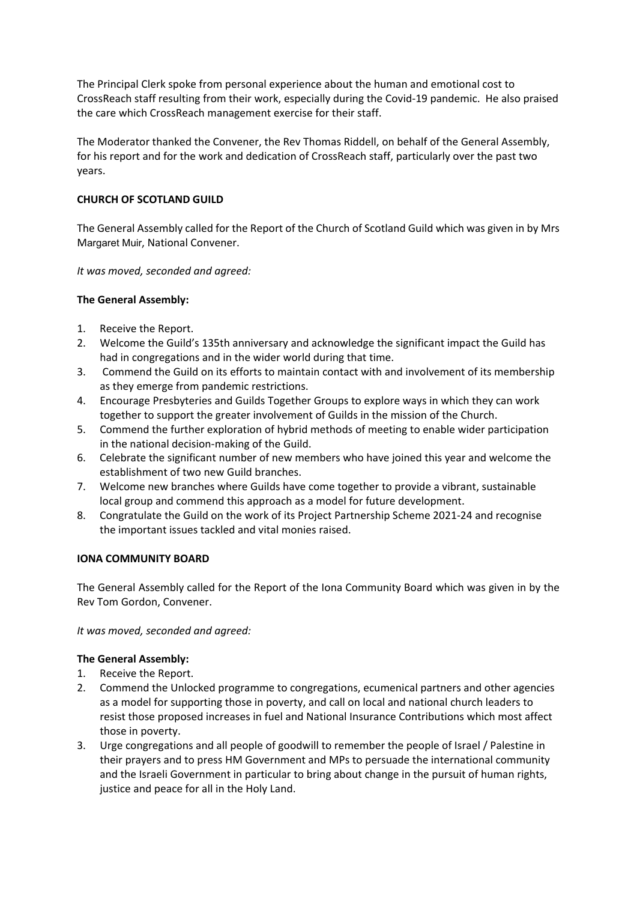The Principal Clerk spoke from personal experience about the human and emotional cost to CrossReach staff resulting from their work, especially during the Covid-19 pandemic. He also praised the care which CrossReach management exercise for their staff.

The Moderator thanked the Convener, the Rev Thomas Riddell, on behalf of the General Assembly, for his report and for the work and dedication of CrossReach staff, particularly over the past two years.

# **CHURCH OF SCOTLAND GUILD**

The General Assembly called for the Report of the Church of Scotland Guild which was given in by Mrs Margaret Muir, National Convener.

*It was moved, seconded and agreed:*

# **The General Assembly:**

- 1. Receive the Report.
- 2. Welcome the Guild's 135th anniversary and acknowledge the significant impact the Guild has had in congregations and in the wider world during that time.
- 3. Commend the Guild on its efforts to maintain contact with and involvement of its membership as they emerge from pandemic restrictions.
- 4. Encourage Presbyteries and Guilds Together Groups to explore ways in which they can work together to support the greater involvement of Guilds in the mission of the Church.
- 5. Commend the further exploration of hybrid methods of meeting to enable wider participation in the national decision-making of the Guild.
- 6. Celebrate the significant number of new members who have joined this year and welcome the establishment of two new Guild branches.
- 7. Welcome new branches where Guilds have come together to provide a vibrant, sustainable local group and commend this approach as a model for future development.
- 8. Congratulate the Guild on the work of its Project Partnership Scheme 2021-24 and recognise the important issues tackled and vital monies raised.

# **IONA COMMUNITY BOARD**

The General Assembly called for the Report of the Iona Community Board which was given in by the Rev Tom Gordon, Convener.

*It was moved, seconded and agreed:*

- 1. Receive the Report.
- 2. Commend the Unlocked programme to congregations, ecumenical partners and other agencies as a model for supporting those in poverty, and call on local and national church leaders to resist those proposed increases in fuel and National Insurance Contributions which most affect those in poverty.
- 3. Urge congregations and all people of goodwill to remember the people of Israel / Palestine in their prayers and to press HM Government and MPs to persuade the international community and the Israeli Government in particular to bring about change in the pursuit of human rights, justice and peace for all in the Holy Land.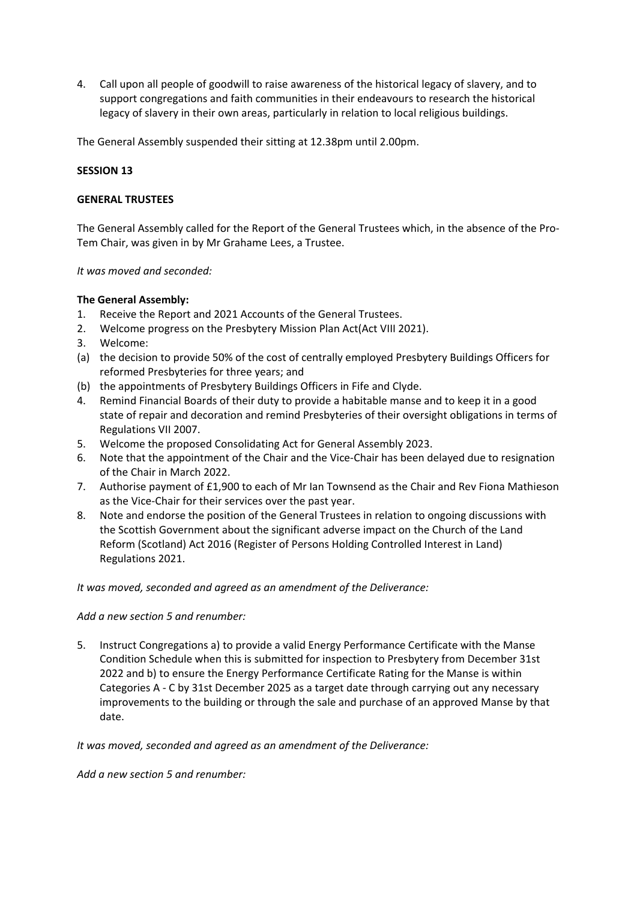4. Call upon all people of goodwill to raise awareness of the historical legacy of slavery, and to support congregations and faith communities in their endeavours to research the historical legacy of slavery in their own areas, particularly in relation to local religious buildings.

The General Assembly suspended their sitting at 12.38pm until 2.00pm.

# **SESSION 13**

# **GENERAL TRUSTEES**

The General Assembly called for the Report of the General Trustees which, in the absence of the Pro-Tem Chair, was given in by Mr Grahame Lees, a Trustee.

# *It was moved and seconded:*

# **The General Assembly:**

- 1. Receive the Report and 2021 Accounts of the General Trustees.
- 2. Welcome progress on the Presbytery Mission Plan Act(Act VIII 2021).
- 3. Welcome:
- (a) the decision to provide 50% of the cost of centrally employed Presbytery Buildings Officers for reformed Presbyteries for three years; and
- (b) the appointments of Presbytery Buildings Officers in Fife and Clyde.
- 4. Remind Financial Boards of their duty to provide a habitable manse and to keep it in a good state of repair and decoration and remind Presbyteries of their oversight obligations in terms of Regulations VII 2007.
- 5. Welcome the proposed Consolidating Act for General Assembly 2023.
- 6. Note that the appointment of the Chair and the Vice-Chair has been delayed due to resignation of the Chair in March 2022.
- 7. Authorise payment of £1,900 to each of Mr Ian Townsend as the Chair and Rev Fiona Mathieson as the Vice-Chair for their services over the past year.
- 8. Note and endorse the position of the General Trustees in relation to ongoing discussions with the Scottish Government about the significant adverse impact on the Church of the Land Reform (Scotland) Act 2016 (Register of Persons Holding Controlled Interest in Land) Regulations 2021.

# *It was moved, seconded and agreed as an amendment of the Deliverance:*

# *Add a new section 5 and renumber:*

5. Instruct Congregations a) to provide a valid Energy Performance Certificate with the Manse Condition Schedule when this is submitted for inspection to Presbytery from December 31st 2022 and b) to ensure the Energy Performance Certificate Rating for the Manse is within Categories A - C by 31st December 2025 as a target date through carrying out any necessary improvements to the building or through the sale and purchase of an approved Manse by that date.

*It was moved, seconded and agreed as an amendment of the Deliverance:*

*Add a new section 5 and renumber:*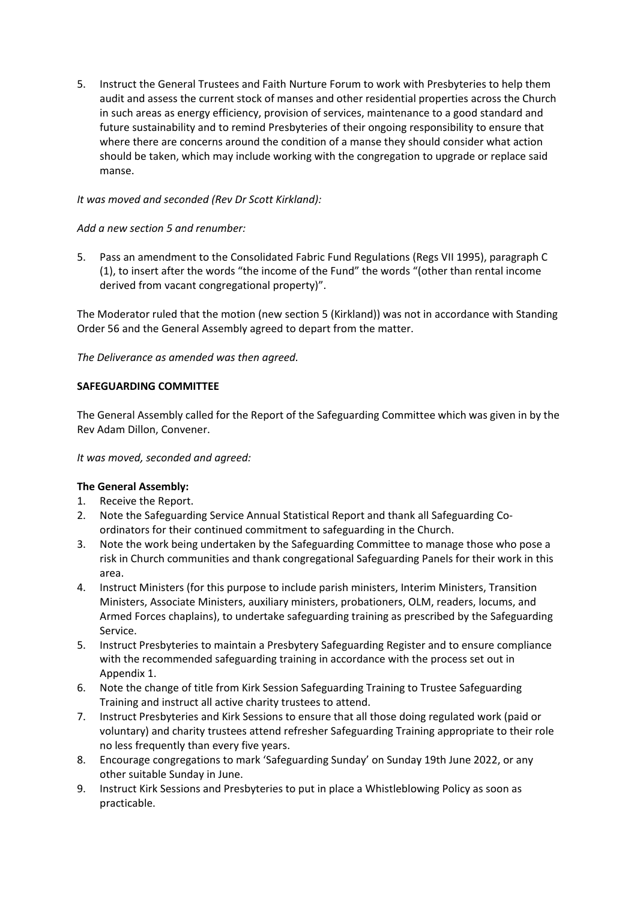5. Instruct the General Trustees and Faith Nurture Forum to work with Presbyteries to help them audit and assess the current stock of manses and other residential properties across the Church in such areas as energy efficiency, provision of services, maintenance to a good standard and future sustainability and to remind Presbyteries of their ongoing responsibility to ensure that where there are concerns around the condition of a manse they should consider what action should be taken, which may include working with the congregation to upgrade or replace said manse.

# *It was moved and seconded (Rev Dr Scott Kirkland):*

# *Add a new section 5 and renumber:*

5. Pass an amendment to the Consolidated Fabric Fund Regulations (Regs VII 1995), paragraph C (1), to insert after the words "the income of the Fund" the words "(other than rental income derived from vacant congregational property)".

The Moderator ruled that the motion (new section 5 (Kirkland)) was not in accordance with Standing Order 56 and the General Assembly agreed to depart from the matter.

*The Deliverance as amended was then agreed.*

# **SAFEGUARDING COMMITTEE**

The General Assembly called for the Report of the Safeguarding Committee which was given in by the Rev Adam Dillon, Convener.

# *It was moved, seconded and agreed:*

- 1. Receive the Report.
- 2. Note the Safeguarding Service Annual Statistical Report and thank all Safeguarding Coordinators for their continued commitment to safeguarding in the Church.
- 3. Note the work being undertaken by the Safeguarding Committee to manage those who pose a risk in Church communities and thank congregational Safeguarding Panels for their work in this area.
- 4. Instruct Ministers (for this purpose to include parish ministers, Interim Ministers, Transition Ministers, Associate Ministers, auxiliary ministers, probationers, OLM, readers, locums, and Armed Forces chaplains), to undertake safeguarding training as prescribed by the Safeguarding Service.
- 5. Instruct Presbyteries to maintain a Presbytery Safeguarding Register and to ensure compliance with the recommended safeguarding training in accordance with the process set out in Appendix 1.
- 6. Note the change of title from Kirk Session Safeguarding Training to Trustee Safeguarding Training and instruct all active charity trustees to attend.
- 7. Instruct Presbyteries and Kirk Sessions to ensure that all those doing regulated work (paid or voluntary) and charity trustees attend refresher Safeguarding Training appropriate to their role no less frequently than every five years.
- 8. Encourage congregations to mark 'Safeguarding Sunday' on Sunday 19th June 2022, or any other suitable Sunday in June.
- 9. Instruct Kirk Sessions and Presbyteries to put in place a Whistleblowing Policy as soon as practicable.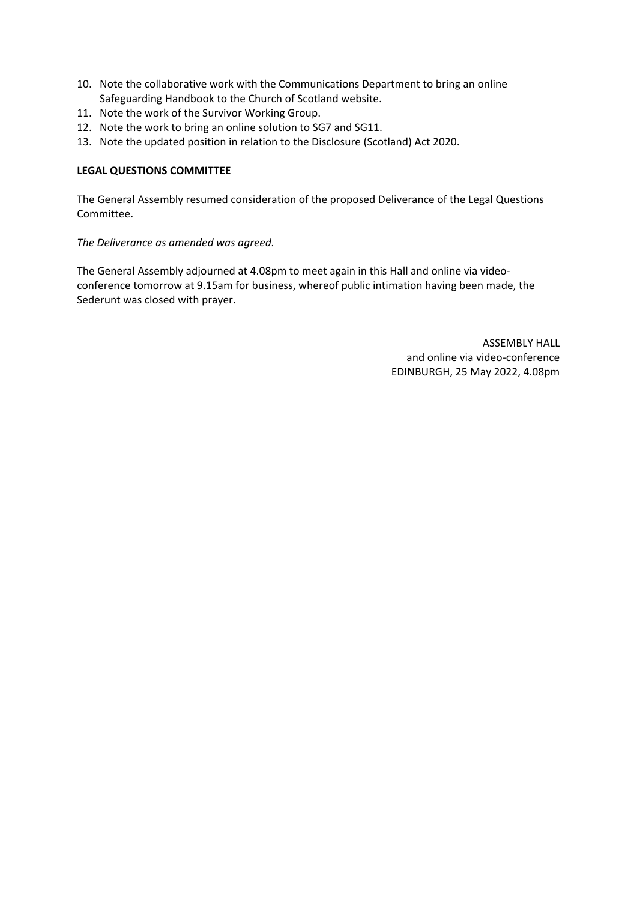- 10. Note the collaborative work with the Communications Department to bring an online Safeguarding Handbook to the Church of Scotland website.
- 11. Note the work of the Survivor Working Group.
- 12. Note the work to bring an online solution to SG7 and SG11.
- 13. Note the updated position in relation to the Disclosure (Scotland) Act 2020.

# **LEGAL QUESTIONS COMMITTEE**

The General Assembly resumed consideration of the proposed Deliverance of the Legal Questions Committee.

*The Deliverance as amended was agreed.*

The General Assembly adjourned at 4.08pm to meet again in this Hall and online via videoconference tomorrow at 9.15am for business, whereof public intimation having been made, the Sederunt was closed with prayer.

> ASSEMBLY HALL and online via video-conference EDINBURGH, 25 May 2022, 4.08pm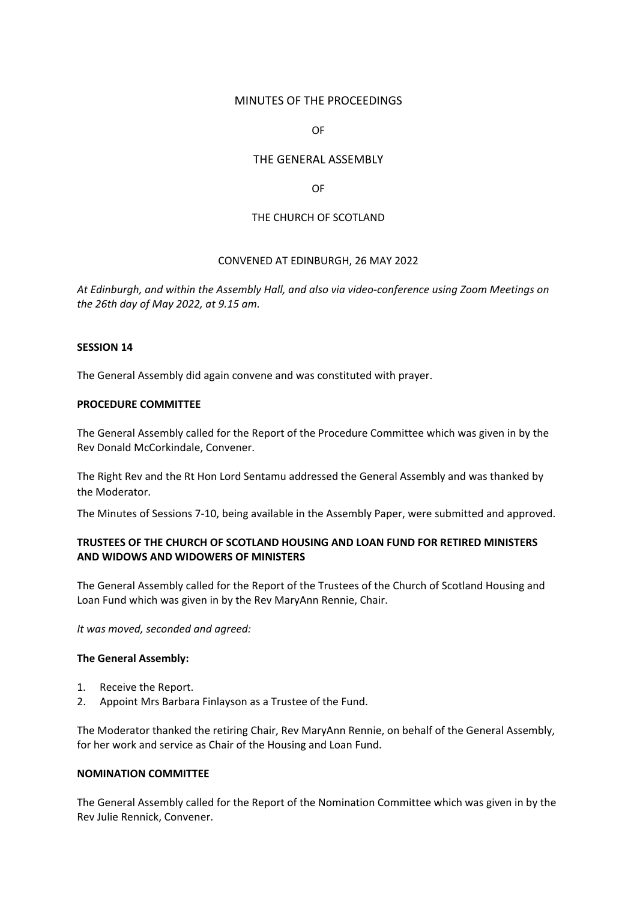# MINUTES OF THE PROCEEDINGS

OF

# THE GENERAL ASSEMBLY

#### OF

# THE CHURCH OF SCOTLAND

# CONVENED AT EDINBURGH, 26 MAY 2022

*At Edinburgh, and within the Assembly Hall, and also via video-conference using Zoom Meetings on the 26th day of May 2022, at 9.15 am.*

# **SESSION 14**

The General Assembly did again convene and was constituted with prayer.

### **PROCEDURE COMMITTEE**

The General Assembly called for the Report of the Procedure Committee which was given in by the Rev Donald McCorkindale, Convener.

The Right Rev and the Rt Hon Lord Sentamu addressed the General Assembly and was thanked by the Moderator.

The Minutes of Sessions 7-10, being available in the Assembly Paper, were submitted and approved.

# **TRUSTEES OF THE CHURCH OF SCOTLAND HOUSING AND LOAN FUND FOR RETIRED MINISTERS AND WIDOWS AND WIDOWERS OF MINISTERS**

The General Assembly called for the Report of the Trustees of the Church of Scotland Housing and Loan Fund which was given in by the Rev MaryAnn Rennie, Chair.

*It was moved, seconded and agreed:*

#### **The General Assembly:**

- 1. Receive the Report.
- 2. Appoint Mrs Barbara Finlayson as a Trustee of the Fund.

The Moderator thanked the retiring Chair, Rev MaryAnn Rennie, on behalf of the General Assembly, for her work and service as Chair of the Housing and Loan Fund.

# **NOMINATION COMMITTEE**

The General Assembly called for the Report of the Nomination Committee which was given in by the Rev Julie Rennick, Convener.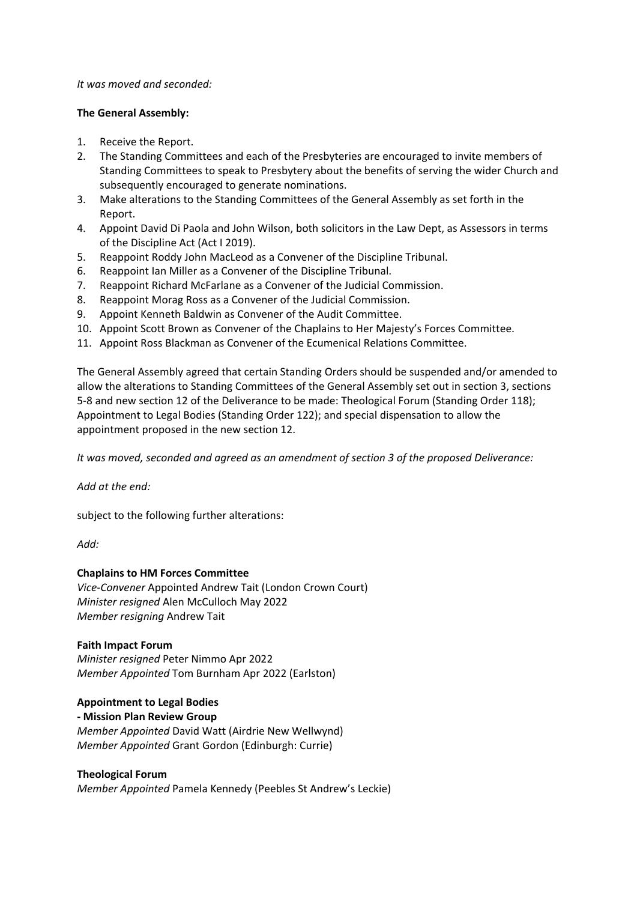### *It was moved and seconded:*

# **The General Assembly:**

- 1. Receive the Report.
- 2. The Standing Committees and each of the Presbyteries are encouraged to invite members of Standing Committees to speak to Presbytery about the benefits of serving the wider Church and subsequently encouraged to generate nominations.
- 3. Make alterations to the Standing Committees of the General Assembly as set forth in the Report.
- 4. Appoint David Di Paola and John Wilson, both solicitors in the Law Dept, as Assessors in terms of the Discipline Act (Act I 2019).
- 5. Reappoint Roddy John MacLeod as a Convener of the Discipline Tribunal.
- 6. Reappoint Ian Miller as a Convener of the Discipline Tribunal.
- 7. Reappoint Richard McFarlane as a Convener of the Judicial Commission.
- 8. Reappoint Morag Ross as a Convener of the Judicial Commission.
- 9. Appoint Kenneth Baldwin as Convener of the Audit Committee.
- 10. Appoint Scott Brown as Convener of the Chaplains to Her Majesty's Forces Committee.
- 11. Appoint Ross Blackman as Convener of the Ecumenical Relations Committee.

The General Assembly agreed that certain Standing Orders should be suspended and/or amended to allow the alterations to Standing Committees of the General Assembly set out in section 3, sections 5-8 and new section 12 of the Deliverance to be made: Theological Forum (Standing Order 118); Appointment to Legal Bodies (Standing Order 122); and special dispensation to allow the appointment proposed in the new section 12.

*It was moved, seconded and agreed as an amendment of section 3 of the proposed Deliverance:*

*Add at the end:*

subject to the following further alterations:

*Add:*

# **Chaplains to HM Forces Committee**

*Vice-Convener* Appointed Andrew Tait (London Crown Court) *Minister resigned* Alen McCulloch May 2022 *Member resigning* Andrew Tait

# **Faith Impact Forum**

*Minister resigned* Peter Nimmo Apr 2022 *Member Appointed* Tom Burnham Apr 2022 (Earlston)

# **Appointment to Legal Bodies**

**- Mission Plan Review Group** *Member Appointed* David Watt (Airdrie New Wellwynd) *Member Appointed* Grant Gordon (Edinburgh: Currie)

#### **Theological Forum**

*Member Appointed* Pamela Kennedy (Peebles St Andrew's Leckie)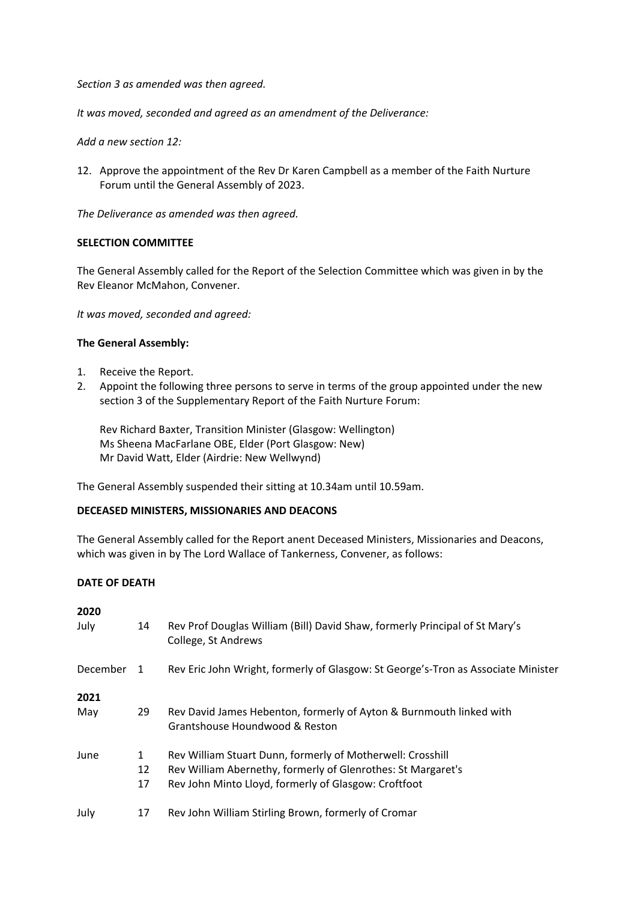*Section 3 as amended was then agreed.*

*It was moved, seconded and agreed as an amendment of the Deliverance:*

*Add a new section 12:*

12. Approve the appointment of the Rev Dr Karen Campbell as a member of the Faith Nurture Forum until the General Assembly of 2023.

*The Deliverance as amended was then agreed.*

### **SELECTION COMMITTEE**

The General Assembly called for the Report of the Selection Committee which was given in by the Rev Eleanor McMahon, Convener.

*It was moved, seconded and agreed:*

# **The General Assembly:**

- 1. Receive the Report.
- 2. Appoint the following three persons to serve in terms of the group appointed under the new section 3 of the Supplementary Report of the Faith Nurture Forum:

Rev Richard Baxter, Transition Minister (Glasgow: Wellington) Ms Sheena MacFarlane OBE, Elder (Port Glasgow: New) Mr David Watt, Elder (Airdrie: New Wellwynd)

The General Assembly suspended their sitting at 10.34am until 10.59am.

#### **DECEASED MINISTERS, MISSIONARIES AND DEACONS**

The General Assembly called for the Report anent Deceased Ministers, Missionaries and Deacons, which was given in by The Lord Wallace of Tankerness, Convener, as follows:

# **DATE OF DEATH**

| 2020     |                |                                                                                                       |
|----------|----------------|-------------------------------------------------------------------------------------------------------|
| July     | 14             | Rev Prof Douglas William (Bill) David Shaw, formerly Principal of St Mary's<br>College, St Andrews    |
| December | $\overline{1}$ | Rev Eric John Wright, formerly of Glasgow: St George's-Tron as Associate Minister                     |
| 2021     |                |                                                                                                       |
| May      | 29             | Rev David James Hebenton, formerly of Ayton & Burnmouth linked with<br>Grantshouse Houndwood & Reston |
| June     | $\mathbf{1}$   | Rev William Stuart Dunn, formerly of Motherwell: Crosshill                                            |
|          | 12             | Rev William Abernethy, formerly of Glenrothes: St Margaret's                                          |
|          | 17             | Rev John Minto Lloyd, formerly of Glasgow: Croftfoot                                                  |
| July     | 17             | Rev John William Stirling Brown, formerly of Cromar                                                   |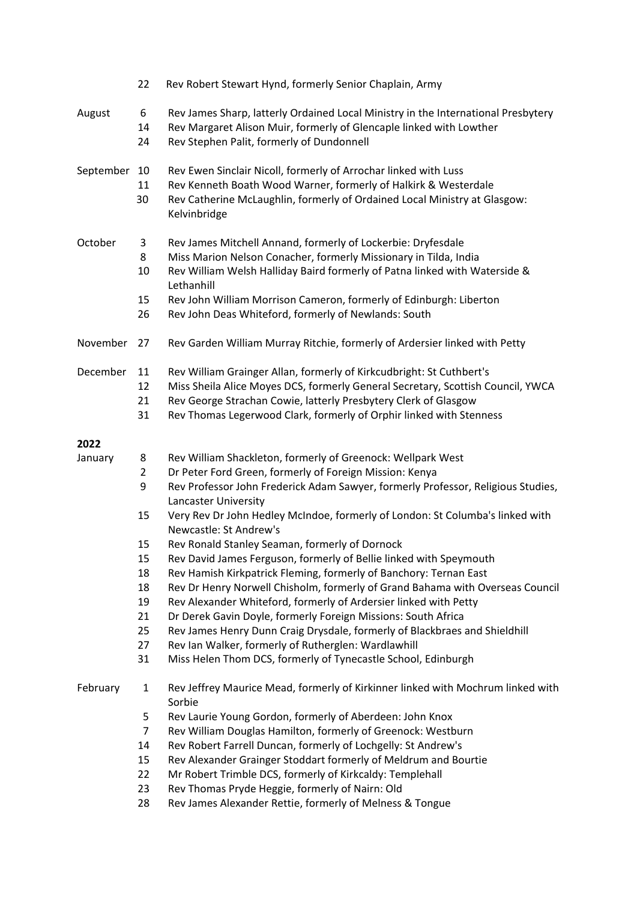|              | 22                                   | Rev Robert Stewart Hynd, formerly Senior Chaplain, Army                                                                                                                                                                                                                                                                                                                                                                                     |
|--------------|--------------------------------------|---------------------------------------------------------------------------------------------------------------------------------------------------------------------------------------------------------------------------------------------------------------------------------------------------------------------------------------------------------------------------------------------------------------------------------------------|
| August       | 6<br>14<br>24                        | Rev James Sharp, latterly Ordained Local Ministry in the International Presbytery<br>Rev Margaret Alison Muir, formerly of Glencaple linked with Lowther<br>Rev Stephen Palit, formerly of Dundonnell                                                                                                                                                                                                                                       |
| September 10 | 11<br>30                             | Rev Ewen Sinclair Nicoll, formerly of Arrochar linked with Luss<br>Rev Kenneth Boath Wood Warner, formerly of Halkirk & Westerdale<br>Rev Catherine McLaughlin, formerly of Ordained Local Ministry at Glasgow:<br>Kelvinbridge                                                                                                                                                                                                             |
| October      | 3<br>8<br>10<br>15<br>26             | Rev James Mitchell Annand, formerly of Lockerbie: Dryfesdale<br>Miss Marion Nelson Conacher, formerly Missionary in Tilda, India<br>Rev William Welsh Halliday Baird formerly of Patna linked with Waterside &<br>Lethanhill<br>Rev John William Morrison Cameron, formerly of Edinburgh: Liberton<br>Rev John Deas Whiteford, formerly of Newlands: South                                                                                  |
| November     | 27                                   | Rev Garden William Murray Ritchie, formerly of Ardersier linked with Petty                                                                                                                                                                                                                                                                                                                                                                  |
| December     | 11<br>12<br>21<br>31                 | Rev William Grainger Allan, formerly of Kirkcudbright: St Cuthbert's<br>Miss Sheila Alice Moyes DCS, formerly General Secretary, Scottish Council, YWCA<br>Rev George Strachan Cowie, latterly Presbytery Clerk of Glasgow<br>Rev Thomas Legerwood Clark, formerly of Orphir linked with Stenness                                                                                                                                           |
| 2022         |                                      |                                                                                                                                                                                                                                                                                                                                                                                                                                             |
| January      | 8<br>$\overline{2}$<br>9<br>15<br>15 | Rev William Shackleton, formerly of Greenock: Wellpark West<br>Dr Peter Ford Green, formerly of Foreign Mission: Kenya<br>Rev Professor John Frederick Adam Sawyer, formerly Professor, Religious Studies,<br><b>Lancaster University</b><br>Very Rev Dr John Hedley McIndoe, formerly of London: St Columba's linked with<br>Newcastle: St Andrew's<br>Rev Ronald Stanley Seaman, formerly of Dornock                                      |
|              | 15<br>18<br>18<br>19<br>21<br>25     | Rev David James Ferguson, formerly of Bellie linked with Speymouth<br>Rev Hamish Kirkpatrick Fleming, formerly of Banchory: Ternan East<br>Rev Dr Henry Norwell Chisholm, formerly of Grand Bahama with Overseas Council<br>Rev Alexander Whiteford, formerly of Ardersier linked with Petty<br>Dr Derek Gavin Doyle, formerly Foreign Missions: South Africa<br>Rev James Henry Dunn Craig Drysdale, formerly of Blackbraes and Shieldhill |
|              | 27<br>31                             | Rev Ian Walker, formerly of Rutherglen: Wardlawhill<br>Miss Helen Thom DCS, formerly of Tynecastle School, Edinburgh                                                                                                                                                                                                                                                                                                                        |
| February     | $\mathbf{1}$                         | Rev Jeffrey Maurice Mead, formerly of Kirkinner linked with Mochrum linked with<br>Sorbie                                                                                                                                                                                                                                                                                                                                                   |
|              | 5<br>7<br>14<br>15                   | Rev Laurie Young Gordon, formerly of Aberdeen: John Knox<br>Rev William Douglas Hamilton, formerly of Greenock: Westburn<br>Rev Robert Farrell Duncan, formerly of Lochgelly: St Andrew's<br>Rev Alexander Grainger Stoddart formerly of Meldrum and Bourtie                                                                                                                                                                                |
|              | 22                                   | Mr Robert Trimble DCS, formerly of Kirkcaldy: Templehall                                                                                                                                                                                                                                                                                                                                                                                    |
|              | 23                                   | Rev Thomas Pryde Heggie, formerly of Nairn: Old                                                                                                                                                                                                                                                                                                                                                                                             |
|              | 28                                   | Rev James Alexander Rettie, formerly of Melness & Tongue                                                                                                                                                                                                                                                                                                                                                                                    |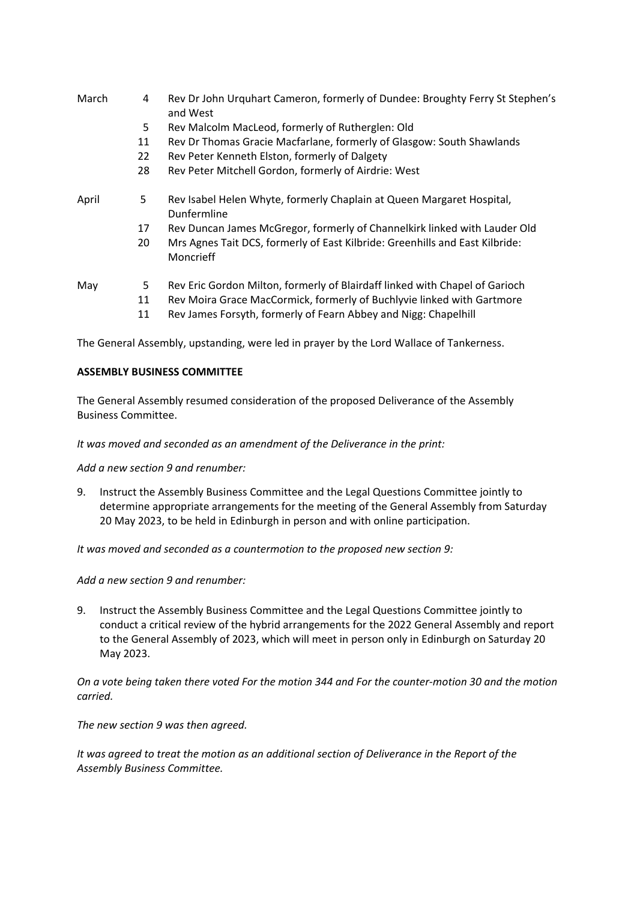- March 4 Rev Dr John Urquhart Cameron, formerly of Dundee: Broughty Ferry St Stephen's and West
	- 5 Rev Malcolm MacLeod, formerly of Rutherglen: Old
	- 11 Rev Dr Thomas Gracie Macfarlane, formerly of Glasgow: South Shawlands
	- 22 Rev Peter Kenneth Elston, formerly of Dalgety
	- 28 Rev Peter Mitchell Gordon, formerly of Airdrie: West
- April 5 Rev Isabel Helen Whyte, formerly Chaplain at Queen Margaret Hospital, Dunfermline
	- 17 Rev Duncan James McGregor, formerly of Channelkirk linked with Lauder Old
	- 20 Mrs Agnes Tait DCS, formerly of East Kilbride: Greenhills and East Kilbride: Moncrieff
- May 5 Rev Eric Gordon Milton, formerly of Blairdaff linked with Chapel of Garioch
	- 11 Rev Moira Grace MacCormick, formerly of Buchlyvie linked with Gartmore
	- 11 Rev James Forsyth, formerly of Fearn Abbey and Nigg: Chapelhill

The General Assembly, upstanding, were led in prayer by the Lord Wallace of Tankerness.

### **ASSEMBLY BUSINESS COMMITTEE**

The General Assembly resumed consideration of the proposed Deliverance of the Assembly Business Committee.

### *It was moved and seconded as an amendment of the Deliverance in the print:*

*Add a new section 9 and renumber:*

9. Instruct the Assembly Business Committee and the Legal Questions Committee jointly to determine appropriate arrangements for the meeting of the General Assembly from Saturday 20 May 2023, to be held in Edinburgh in person and with online participation.

*It was moved and seconded as a countermotion to the proposed new section 9:*

*Add a new section 9 and renumber:*

9. Instruct the Assembly Business Committee and the Legal Questions Committee jointly to conduct a critical review of the hybrid arrangements for the 2022 General Assembly and report to the General Assembly of 2023, which will meet in person only in Edinburgh on Saturday 20 May 2023.

*On a vote being taken there voted For the motion 344 and For the counter-motion 30 and the motion carried.* 

*The new section 9 was then agreed.*

*It was agreed to treat the motion as an additional section of Deliverance in the Report of the Assembly Business Committee.*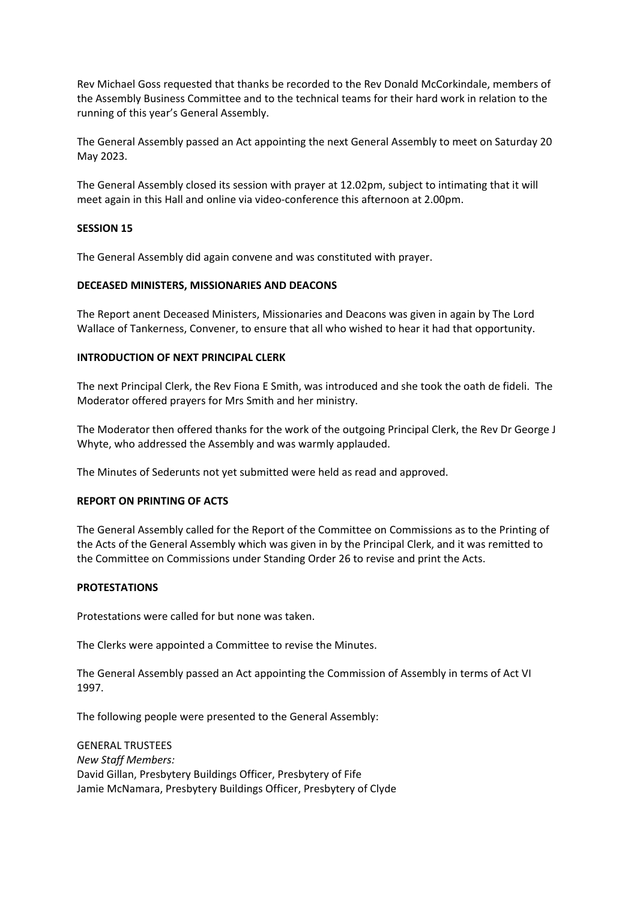Rev Michael Goss requested that thanks be recorded to the Rev Donald McCorkindale, members of the Assembly Business Committee and to the technical teams for their hard work in relation to the running of this year's General Assembly.

The General Assembly passed an Act appointing the next General Assembly to meet on Saturday 20 May 2023.

The General Assembly closed its session with prayer at 12.02pm, subject to intimating that it will meet again in this Hall and online via video-conference this afternoon at 2.00pm.

# **SESSION 15**

The General Assembly did again convene and was constituted with prayer.

### **DECEASED MINISTERS, MISSIONARIES AND DEACONS**

The Report anent Deceased Ministers, Missionaries and Deacons was given in again by The Lord Wallace of Tankerness, Convener, to ensure that all who wished to hear it had that opportunity.

### **INTRODUCTION OF NEXT PRINCIPAL CLERK**

The next Principal Clerk, the Rev Fiona E Smith, was introduced and she took the oath de fideli. The Moderator offered prayers for Mrs Smith and her ministry.

The Moderator then offered thanks for the work of the outgoing Principal Clerk, the Rev Dr George J Whyte, who addressed the Assembly and was warmly applauded.

The Minutes of Sederunts not yet submitted were held as read and approved.

#### **REPORT ON PRINTING OF ACTS**

The General Assembly called for the Report of the Committee on Commissions as to the Printing of the Acts of the General Assembly which was given in by the Principal Clerk, and it was remitted to the Committee on Commissions under Standing Order 26 to revise and print the Acts.

#### **PROTESTATIONS**

Protestations were called for but none was taken.

The Clerks were appointed a Committee to revise the Minutes.

The General Assembly passed an Act appointing the Commission of Assembly in terms of Act VI 1997.

The following people were presented to the General Assembly:

GENERAL TRUSTEES *New Staff Members:* David Gillan, Presbytery Buildings Officer, Presbytery of Fife Jamie McNamara, Presbytery Buildings Officer, Presbytery of Clyde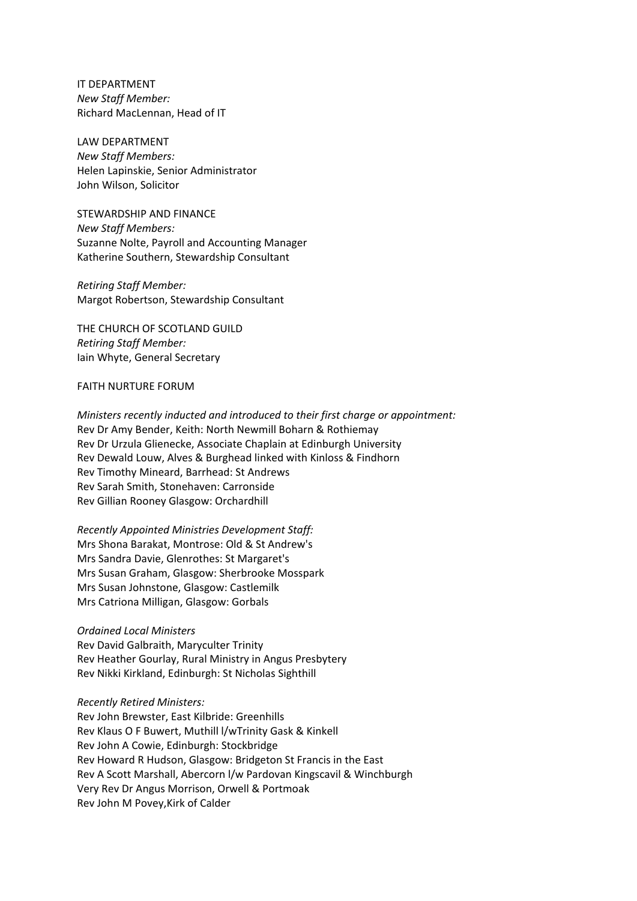IT DEPARTMENT *New Staff Member:* Richard MacLennan, Head of IT

LAW DEPARTMENT *New Staff Members:* Helen Lapinskie, Senior Administrator John Wilson, Solicitor

STEWARDSHIP AND FINANCE *New Staff Members:* Suzanne Nolte, Payroll and Accounting Manager Katherine Southern, Stewardship Consultant

*Retiring Staff Member:* Margot Robertson, Stewardship Consultant

THE CHURCH OF SCOTLAND GUILD *Retiring Staff Member:* Iain Whyte, General Secretary

#### FAITH NURTURE FORUM

*Ministers recently inducted and introduced to their first charge or appointment:* Rev Dr Amy Bender, Keith: North Newmill Boharn & Rothiemay Rev Dr Urzula Glienecke, Associate Chaplain at Edinburgh University Rev Dewald Louw, Alves & Burghead linked with Kinloss & Findhorn Rev Timothy Mineard, Barrhead: St Andrews Rev Sarah Smith, Stonehaven: Carronside Rev Gillian Rooney Glasgow: Orchardhill

*Recently Appointed Ministries Development Staff:* Mrs Shona Barakat, Montrose: Old & St Andrew's Mrs Sandra Davie, Glenrothes: St Margaret's Mrs Susan Graham, Glasgow: Sherbrooke Mosspark Mrs Susan Johnstone, Glasgow: Castlemilk Mrs Catriona Milligan, Glasgow: Gorbals

#### *Ordained Local Ministers*

Rev David Galbraith, Maryculter Trinity Rev Heather Gourlay, Rural Ministry in Angus Presbytery Rev Nikki Kirkland, Edinburgh: St Nicholas Sighthill

#### *Recently Retired Ministers:*

Rev John Brewster, East Kilbride: Greenhills Rev Klaus O F Buwert, Muthill l/wTrinity Gask & Kinkell Rev John A Cowie, Edinburgh: Stockbridge Rev Howard R Hudson, Glasgow: Bridgeton St Francis in the East Rev A Scott Marshall, Abercorn l/w Pardovan Kingscavil & Winchburgh Very Rev Dr Angus Morrison, Orwell & Portmoak Rev John M Povey,Kirk of Calder